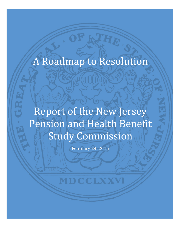# A Roadmap to Resolution

Report of the New Jersey Pension and Health Benefit Study Commission

February 24, 2015

MDCCLXXVI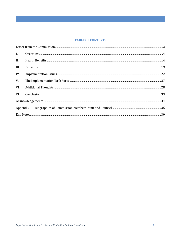## **TABLE OF CONTENTS**

| II.  |  |
|------|--|
| III. |  |
| IV.  |  |
| V.   |  |
| VI.  |  |
|      |  |
|      |  |
|      |  |
|      |  |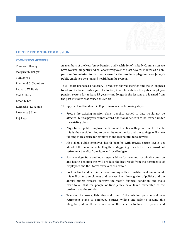

# <span id="page-2-0"></span>**LETTER FROM THE COMMISSION**

#### **COMMISSION MEMBERS**

Thomas J. Healey Margaret S. Berger Tom Byrne Raymond G. Chambers Leonard W. Davis Carl A. Hess Ethan E. Kra Kenneth F. Kunzman Lawrence J. Sher Raj Tatta

As members of the New Jersey Pension and Health Benefits Study Commission, we have worked diligently and collaboratively over the last several months as a nonpartisan Commission to discover a cure for the problems plaguing New Jersey's public employee pension and health benefits system.

This Report proposes a solution. It requires shared sacrifice and the willingness to let go of a failed *status quo*. If adopted, it would stabilize the public employee pension system for at least 35 years—and longer if the lessons are learned from the past mistakes that caused this crisis.

The approach outlined in this Report involves the following steps:

- Freeze the existing pension plans; benefits earned to date would not be affected, but taxpayers cannot afford additional benefits to be earned under the existing plans
- Align future public employee retirement benefits with private-sector levels; this is the sensible thing to do on its own merits and the savings will make funding more secure for employees and less painful to taxpayers
- Also align public employee health benefits with private-sector levels; get ahead of the curve in controlling these staggering costs before they crowd out retirement benefits from State and local budgets
- Fairly realign State and local responsibility for new and sustainable pension and health benefits; this will produce the best result from the perspective of employees and the State's taxpayers as a whole
- Lock in fixed and certain pension funding with a constitutional amendment; this will protect employees and retirees from the vagaries of politics and the annual budget process, improve the State's financial condition, and make clear to all that the people of New Jersey have taken ownership of the problem and the solution
- Transfer the assets, liabilities and risks of the existing pension and new retirement plans to employee entities willing and able to assume this obligation; allow those who receive the benefits to have the power and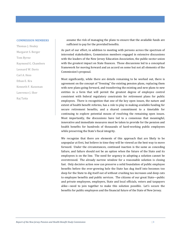#### **COMMISSION MEMBERS**

Thomas J. Healey Margaret S. Berger Tom Byrne Raymond G. Chambers Leonard W. Davis Carl A. Hess Ethan E. Kra Kenneth F. Kunzman Lawrence J. Sher Raj Tatta

assume the risk of managing the plans to ensure that the available funds are sufficient to pay for the provided benefits.

As part of our effort, in addition to meeting with persons across the spectrum of interested stakeholders, Commission members engaged in extensive discussions with the leaders of the New Jersey Education Association, the public-sector union with the greatest impact on State finances. Those discussions led to a conceptual framework for moving forward and an accord on some but not all elements of the Commission's proposal.

Most significantly, while there are details remaining to be worked out, there is agreement on the concept of "freezing" the existing pension plans, replacing them with new plans going forward, and transferring the existing and new plans to new entities in a form that will permit the greatest degree of employee control consistent with federal regulatory constraints for retirement plans for public employees. There is recognition that one of the key open issues, the nature and extent of health benefit reforms, has a role to play in making available funding for secure retirement benefits, and a shared commitment to a timetable for continuing to explore potential means of resolving the remaining open issues. Most importantly, the discussions have led to a consensus that meaningful, innovative and immediate measures must be taken to provide for the pension and health benefits for hundreds of thousands of hard-working public employees while preserving the State's fiscal integrity.

We recognize that there are elements of this approach that are likely to be unpopular at first, but believe in time they will be viewed as the best way to move forward. Under the circumstances, continued inaction is the same as conceding failure, and failure should not be an option when the future of the State and its employees is on the line. The need for urgency in adopting a solution cannot be overstressed. The already narrow window for a reasonable solution is closing fast. Only decisive action *now* can preserve a solid foundation of public employee benefits before the ever-growing hole the State has dug itself into becomes too deep for the State to dig itself out of without crushing tax increases and deep cuts to employee benefits and public services. The citizens of our great State—public and private employees, employers, State and local officials, voters and taxpayers alike—need to join together to make this solution possible. Let's secure the benefits for public employees and the financial future of the State of New Jersey.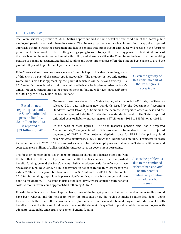## <span id="page-4-0"></span>**I. OVERVIEW**

The Com[m](#page-40-0)ission's September 25, 2014, Status Report outlined in some detail the dire condition of the State's public employee<sup>1</sup> pension and health benefits system. This Report proposes a workable solution.. In concept, the proposed approach is simple: reset the retirement and health benefits that public-sector employees will receive in the future to private-sector levels and use the resulting savings going forward to pay off the existing pension deficit. While some of the details of implementation will require flexibility and shared sacrifice, the Commission believes that the resulting mixture of benefit adjustments, additional funding and structural changes offers the State its best chance to avoid the painful collapse of its public employee benefits system.

If the State's citizens take one message away from this Report, it is that given the gravity of this crisis no part of the *status quo* is acceptable. The situation is not only getting worse, but is also fast approaching the point at which it will be beyond remedy. By 2016—the first year in which reforms could realistically be implemented—the [S](#page-40-1)tate's annual required contribution [t](#page-40-2)o its share of [p](#page-40-3)ension funding will have increased<sup>2</sup> from the 2014 figure of \$3.7 billion<sup>3</sup> to \$4.3 billion.<sup>4</sup>

Given the gravity of this crisis, no part of the *status quo* is acceptable

Based on new reporting standards, the State's unfunded pension liability, \$37 billion for 2013, is reported at **\$83 billion** for 2014

Moreover, since the release of our Status Report, which reported 2013 data, the State has released 2014 data reflecting new standards issued by the Government A[cc](#page-40-5)ounting Standards Board (" $GASB$ ").<sup>[5](#page-40-4)</sup> Combined, the decrease in reported asset values<sup>6</sup> and the increase in reported liabilities<sup>[7](#page-40-6)</sup> under the new standards result in the State's reported unfunded pension liability increasing from \$37 billion for 2013 to \$83 billion for 2014.

Onthe basis of these figures,  $TPAF<sub>0</sub>$ <sup>[8](#page-40-7)</sup> the teachers' pension fund, has a projected "depletion date,"9 the year in which it is projected to be unable to cover its projected payments, of 2027.<sup>10</sup> The projected [d](#page-40-11)epletion date for PERS,<sup>[11](#page-40-10)</sup> the primary fund covering State employees, is  $2024$ .  $[RS,12]$  the judicial pension fund, is projected to reach

its depletion date in 2021.[13](#page-40-12) This is not just a concern for public employees, as it affects the State's credit rating and costs taxpayers millions of dollars in higher interest rates on government borrowing.

The focus on pension liabilities in ongoing litigation should not distract attention from the fact that it is the cost of pension and health benefits *combined* that has pushed benefits funding beyond the State's means. Public employee health benefits costs have always been high: New Jersey's public-sector health benefits are the third-costliest in the nation.<sup>[14](#page-40-13)</sup> These costs, projected to increase from \$3.1 billion<sup>[15](#page-40-14)</sup> in 2014 to \$3.7 billion for 2016 for State-paid [gro](#page-40-16)ups alone,<sup>[16](#page-40-15)</sup> place a significant drag on the State budget and have done so for decades.<sup>17</sup> The same is true at the local level[, w](#page-40-17)here annual health benefits costs, without reform, could approach \$10 billion by 2016.18

Just as the problem is due to the combined effect of pension *and* health benefits funding, any solution *must* address both issues

If health benefits costs had been kept in check, some of the budget pressure that led to pension underfunding would have been relieved, and the hole from which the State must now dig itself out might be much less deep. Going forward, while there are different avenues to explore in how to reform health benefits, significant reduction of health benefits costs at the State and local levels is an essential element of any effort to provide public-sector employees with adequate, sustainable and certain retirement benefits funding.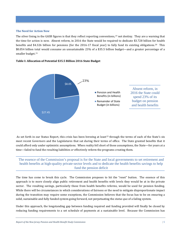## **The Need for Action Now**

The silver lining in the GASB figures is that they reflect reporting conventions,[19](#page-41-0) not destiny. They are a warning that the time for action is now. Absent reform, in 2016 the State would be required to dedicate \$3.728 billion for health benefits and \$4.326 billion for pensions (for the 2016-17 fiscal year) to fully fund its existing obligations.[20](#page-41-1) This \$8.054 billion total would consume an unsustainable 23% of a \$35.5 billion budget—and a greater percentage of a smaller budget.<sup>[21](#page-41-2)</sup>

## **Table I: Allocation of Potential \$35.5 Billion 2016 State Budget**



As set forth in our Status Report, this crisis has been brewing at least<sup>[22](#page-41-3)</sup> through the terms of each of the State's six most recent Governors and the Legislatures that sat during their terms of office. The State granted benefits that it could afford only under optimistic assumptions. When reality fell short of those assumptions, the State—for years at a time—failed to fund the resulting liabilities *or* effectively reform the programs creating them.

# The essence of the Commission's proposal is for the State and local governments to set retirement and health benefits at high-quality private-sector levels and to dedicate the health benefits savings to help fund the pension deficit

The time has come to break this cycle. The Commission proposes to hit the "reset" button. The essence of this approach is to more closely align public retirement and health benefits with levels they would be at in the private sector. The resulting savings, particularly those from health benefits reforms, would be used for pension funding. While there will be circumstances in which considerations of fairness or the need to mitigate disproportionate impact during the transition may require some exceptions, the Commission believes that the focus has to be on ensuring a solid, sustainable and fully funded system going forward, not perpetuating the *status quo* of a failing system.

Under this approach, the longstanding gap between funding required and funding provided will finally be closed by reducing funding requirements to a set schedule of payments at a sustainable level. Because the Commission has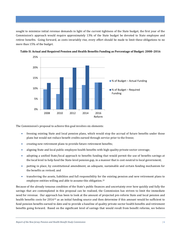sought to minimize initial revenue demands in light of the current tightness of the State budget, the first year of the Commission's approach would require approximately 13% of the State budget be devoted to State employee and retiree benefits. Going forward, as costs invariably rise, every effort should be made to limit these obligations to no more than 15% of the budget.





The Commission's proposal to achieve this goal involves six elements:

- freezing existing State and local pension plans, which would stop the accrual of future benefits under those plans but would not reduce benefit credits earned through service prior to the freeze;
- creating new retirement plans to provide future retirement benefits;
- aligning State and local public employee health benefits with high-quality private-sector coverage;
- adopting a unified State/local approach to benefits funding that would permit the use of benefits savings at the local level to help fund the State-level pension gap, in a manner that is cost-neutral to local government;
- putting in place, by constitutional amendment, an adequate, sustainable and certain funding mechanism for the benefits as revised; and
- transferring the assets, liabilities and full responsibility for the existing pension and new retirement plans to employee entities willing and able to assume this obligation.<sup>[23](#page-41-4)</sup>

Because of the already tenuous condition of the State's public finances and uncertainty over how quickly and fully the savings that are contemplated in this proposal can be realized, the Commission has striven to limit the immediate need for revenue. Our approach has been to look at the amount of projected pre-reform State and local pension and health benefits costs for 2016<sup>[24](#page-41-5)</sup> as an initial funding source and then determine if this amount would be sufficient to fund pension benefits earned to date and to provide a baseline of quality private-sector health benefits and retirement benefits going forward. Based on the significant level of savings that would result from benefit reforms, we believe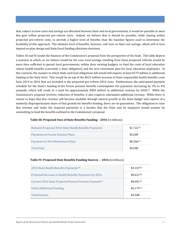that, subject to how costs and savings are allocated between State and local governments, it would be possible to meet this goal within projected pre-reform costs. Indeed, we believe that it should be possible, while staying within projected pre-reform costs, to provide a higher level of benefits than the baseline figures used to determine the feasibility of this approach. The ultimate level of benefits, however, will turn on final cost savings, which will in turn depend on plan design and State/local funding allocation decisions.

Tables III and IV model the finances of the Commission's proposal from the perspective of the State. The table depicts a scenario in which, as we believe would be the case, local savings resulting from these proposed reforms would be more than sufficient to permit local governments, within their existing budgets, to fund the costs of local education retiree health benefits (currently a State obligation) and the new retirement plan for local education employees. In this scenario, the manner in which State and local obligations fall would still require at least \$179 million in additional funding at the State level. This would be on top of the \$621 million increase in State-responsible health benefits costs from 2014 to 2016 that are included in the projected pre-reform 2016 costs. Furthermore, the anticipated payment schedule for the State's funding of the frozen pension benefits contemplates the payments increasing by 3% to 4% annually, which will result in a need for approximately \$500 million in additional revenue by 2020.[25](#page-42-0) While the Commission's proposal involves reduction of benefits, it also requires substantial additional revenue. While there is reason to hope that this revenue will become available through natural growth in the State budget and capture of a modestly disproportionate share of that growth for benefits funding, there are no guarantees. The obligation to raise this revenue and make the required payments is a burden that the State and its taxpayers would assume by committing to fund the benefits outlined in the Commission's proposal.

## **Table III: Proposed Uses of State Benefits Funding – 2016** (in billions)

| Reduced Projected 2016 State Health Benefits Payments | \$1.72226     |
|-------------------------------------------------------|---------------|
| Payments to Frozen Pension Plans                      | \$2.600       |
| Payments to New Retirement Plans                      | $$0.266^{27}$ |
| <b>Total Uses</b>                                     | \$4.588       |

## **Table IV: Proposed State Benefits Funding Sources – 2016** (in billions)

| 2014 State Health Benefits Payments <sup>28</sup>                 | $$3.107^{29}$ |
|-------------------------------------------------------------------|---------------|
| Projected Increase in Health Benefits Payments by 2016            | $$0.621^{30}$ |
| Current 2016 State Projected Normal Pension Payment <sup>31</sup> | $$0.681^{32}$ |
| Initial Additional Funding                                        | \$0.17933     |
| <b>Total Sources</b>                                              | \$4.588       |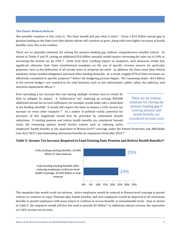## **The Future Without Reform**

One possible response to this crisis is, "the State should just pay what it owes." Given a \$3.6 billion annual gap in pension funding at the State level that absent reform will continue to grow, along with even higher increases in health benefits costs, this is not realistic.

There are no plausible solutions for closing the pension funding gap without comprehensive benefits reform. As shown in Tables V and VI, raising an additional \$3.6 billion annually would require increasing the sales tax to 10% or increasing the income tax by 29%.[34](#page-43-0) Aside from their crushing impact on taxpayers, such measures would face significant obstacles from State constitutional mandates on the use of specific revenue sources for particular purposes, such as the dedication of all income taxes to property tax relief. In addition, the State must obey federal mandates, honor bonded obligations and meet other funding demands. As a result, roughly 87% of State revenues are effectively committed to specific purposes<sup>[35](#page-43-1)</sup> before the budgeting process begins. The remaining funds—\$4.3 billion in the current budget—are counted on for vital functions such as law enforcement, public safety, the judiciary, and executive department offices.[36](#page-43-2)

Even spreading a tax increase this size among multiple revenue sources would do little to mitigate its impact. A "millionaires' tax" imposing an average \$50,000 additional annual tax on each millionaire, for example, would make only a small dent in the funding shortfall. It would still require the State to impose a 23% income tax increase on every other taxpayer.<sup>[37](#page-43-3)</sup> As a matter of political reality, potential tax increases of this magnitude would first be preceded by substantial benefit reductions. If existing pension and retiree health benefits are considered beyond reach, the remaining options would involve actions such as reducing active

There are no realistic solutions for closing the pension funding gap if existing pension and health benefits are considered beyond reach

employees' health benefits to the equivalent of Bronze-level[38](#page-43-4) coverage under the Patient Protection and Affordable Care Act ("ACA") and eliminating retirement benefits for employees hired after 2010.[39](#page-43-5)

## **Table V: Income Tax Increase Required to Fund Existing State Pension and Retiree Health Benefits[40](#page-43-6)**



The inequities that would result are obvious. Active employees would be reduced to Bronze-level coverage to permit retirees to continue to enjoy Platinum-plus health benefits, and new employees would be deprived of all retirement benefits to permit employees with more tenure to continue to accrue benefits at unsustainable levels. And, as shown in Table V, the taxpayers would still face the need to provide \$3 billion<sup>[41](#page-43-7)</sup> in additional annual revenue, the equivalent of a 24% income tax increase.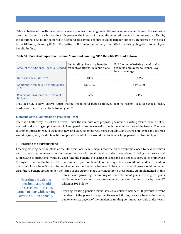Table VI below sets forth the effect on various sources of raising the additional revenue needed to fund the scenarios described above. In each case, the table projects the impact of raising the required revenue from one source. That is, the additional \$3.6 billion required to fully fund all existing benefits could be paid for either by an increase in the sales tax to 10% or by devoting 85% of the portion of the budget not already committed to existing obligations to employee benefit funding.

**Table VI: Potential Impact on Revenue Sources of Funding 2016 Benefits Without Reform** 

| Amount of Additional Revenue Needed through additional revenue alone. | Full funding of existing benefits | Full funding of existing benefits after<br>reducing employees to Bronze-level<br>health coverage. |
|-----------------------------------------------------------------------|-----------------------------------|---------------------------------------------------------------------------------------------------|
| New Sales Tax Rate; or <sup>42</sup>                                  | 10%                               | 9.54%                                                                                             |
| Additional Annual Tax per Millionaire;<br>$\Omega$ r <sup>43</sup>    | \$228,062                         | \$190,750                                                                                         |
| Percent of Uncommitted Portion of<br>Budget <sup>44</sup>             | 85%                               | 71%                                                                                               |

That, in brief, is New Jersey's future with[ou](#page-44-3)t meaningful public employee benefits reform—a future that is bleak, burdensome and unacceptable to everyone.45

## **Elements of the Commission's Proposed Reset**

There is a better way. As set forth below, under the Commission's proposal pensions of existing retirees would not be affected, and existing employees would keep pension credits earned through the effective date of the freeze. The new retirement program would treat both new and existing employees more equitably, and active employees and retirees would enjoy quality health benefits comparable to what they would receive from a large private-sector employer.

## **1. Freezing the Existing Plans**

Freezing existing pension plans at the State and local levels means that the plans would be closed to new members and that existing members would no longer accrue additional benefits under those plans. Existing plan assets and future State contributions would be used fund the benefits of existing retirees and the benefits accrued by employees through the date of the freeze. The plan-funded<sup>[46](#page-44-4)</sup> pension benefits of existing retirees would not be affected, and no one would lose a benefit credit for service before the freeze. What would change is that employees would no longer earn future benefit credits under the terms of the current plans or contribute to these plans. As implemented in this

Freezing the existing pension plans would preserve benefit credits earned to date while saving over \$2 billion annually

reform, even providing for funding of new retirement plans, freezing the plans would reduce State and local governments' pension-funding costs by over \$2 billion in 2016 alone.

Freezing existing pension plans strikes a delicate balance. It permits current members of the plans to keep credits earned through service before the freeze, but relieves taxpayers of the burden of funding continued accruals under terms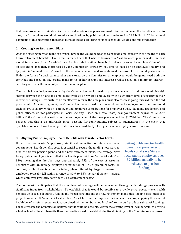that have proven unsustainable. As the current assets of the plans are insufficient to fund even the benefits earned to date, the frozen plans would still require contributions by public employers estimated at \$3.1 billion in 2016. Annual payments of this magnitude, increased pursuant to an escalating payment schedule, would continue for decades.

## **2. Creating New Retirement Plans**

Once the existing pension plans are frozen, new plans would be needed to provide employees with the means to earn future retirement benefits. The Commission believes that what is known as a "cash balance" plan provides the best model for the new plans. A cash balance plan is a hybrid defined benefit plan that expresses the employee's benefit as an account balance that, as proposed by the Commission, grows by "pay credits" based on an employee's salary, and by periodic "interest credits" based on the account's balance and some defined measure of investment performance. Under the form of a cash balance plan envisioned by the Commission, an employee would be guaranteed both the contributions based on pay credits made to his or her account and interest credits based on a minimum interest– crediting rate over the years of participation in the plan.

The cash balance design envisioned by the Commission would result in greater cost control and more equitable risk sharing between the plans and employees while still providing employees with a significant level of security in their retirement savings. Obviously, to be an effective reform, the new plans must also cost less going forward than the old plans would. As a starting point, the Commission has assumed that the employer and employee contributions would each be 4% of salary, with 8% employer and employee contributions for employees who, like many firefighters and police officers, do not participate in Social Security. Based on a total State/local government payroll of \$26.637 billion,[47](#page-45-0) the Commission estimates the employer cost of the new plans would be \$1.23 billion. The Commission believes that this is an affordable initial baseline for contributions, subject to augmentation in the event that quantification of costs and savings establishes the affordability of a higher level of employer contributions.

## **3. Aligning Public Employee Health Benefits with Private-Sector Levels**

Under the Commission's proposal, significant reduction of State and local governments' health benefits costs is essential to secure the funding necessary to fund the frozen pension plans and the new retirement plans. The average New Jersey public employee is enrolled in a health plan with an "actuarial value" of 95%, meaning that the plan pays approximately 95% of the cost of essential benefits,[48](#page-45-1) with an average employee contribution of 18% of premium costs. In contrast, while there is some variation, plans offered by large priv[ate](#page-45-2)-sector employers typically fall within a range of  $80\%$  to  $85\%$  actu[ar](#page-45-3)ial value,<sup>49</sup> toward which employees typically contribute 24% of premium costs.<sup>50</sup>

Setting public-sector health benefits at private-sector levels could save State and local public employers over \$2 billion annually to be dedicated to pension funding

The Commission anticipates that the exact level of coverage will be determined through a plan design process with significant input from stakeholders. To establish that it would be possible to provide private-sector-level health benefits while also adequately funding the frozen pensions and the new retirement plans, this Report bases initial cost projections on an 80% actuarial value plan. As set forth in the Implementation Issues section, applying this level of health benefits reform system-wide, combined with other State and local reforms, would produce substantial savings. For this reason, the Commission believes that it could be possible, within the existing level of local budgets, to provide a higher level of health benefits than the baseline used to establish the fiscal viability of the Commission's approach.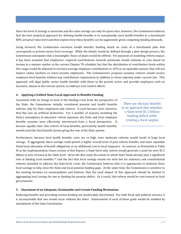Since the level of savings is uncertain and the same savings can only be spent once, however, the Commission believes that the best analytical approach for defining health benefits is to conceptually reset health benefits to a benchmark 80% actuarial value level and then explore how these benefits can be augmented, given competing funding demands.

Going forward, the Commission envisions health benefits funding based on costs of a benchmark plan that corresponds to private-sector level coverage. While the details would be defined through a plan design process, the Commission anticipates that a meaningful choice of plans would be offered. For purposes of modeling reform impact, it has been assumed that employees' required contributions towards premiums would continue to vary based on income in a manner similar to the current Chapter 78 schedule, but that the distribution of contribution levels within this range would be adjusted to increase average employee contributions to 25% in an equitable manner that will not impose undue burdens on lower-income employees. The Commission's proposal assumes retirees would receive employee-level benefits without any contribution requirement in addition to those imposed under current law. This approach will align public sector health benefits with those in the private sector and provide employees with an incentive, absent in the current system, to embrace cost-control efforts.

## **4. Applying a Unified State/Local Approach to Benefits Funding**

Consistent with its charge to look at the funding crisis from the perspective of the State, the Commission initially considered pension and health benefits reforms only for State employees and retirees. It soon became clear, however, that this was an artificial distinction. For a number of reasons, including the State's assumption of education retiree expenses, the State and local employee benefits systems were effectively intertwined from a fiscal perspective. It became equally clear that reform of local benefits, particularly health benefits, would avoid the local benefit system going the way of the State system.

There are obvious benefits to an approach that remedies a State-level \$1.5 billion funding deficit while creating a local surplus

Furthermore, because local health benefits costs are so high, even moderate reforms would result in huge local savings. If aggregated, these savings could permit a higher overall level of post-reform benefits and more equitable State/local allocation of benefit obligations at no additional cost to local taxpayers. In contrast, as illustrated in Table IX in the Implementation Issues section of this Report, a State-level-only reform would generate a need for over \$1.5 billion in new revenue at the State level. Given the dire need, the extent to which State funds already play a significant role in funding local benefits,[51](#page-46-0) and the fact that local savings would not exist but for statutory and constitutional reforms intended to address the State-level crisis, the Commission believes that it is appropriate to dedicate these local savings to help close the State and local pension funding gaps. At the same time, the Commission is sensitive to the existing burdens on municipalities and believes that the local impact of this approach should be limited to aggregating local *savings* for use in funding the pension deficit. As a result, this reform would be cost-neutral to local governments.

## **5. Enactment of an Adequate, Sustainable and Certain Funding Mechanism.**

Reducing benefits and providing certain funding are inextricably intertwined. For both fiscal and political reasons, it is inconceivable that one would occur without the other. Achievement of each of these goals would be enabled by amendment of the State Constitution.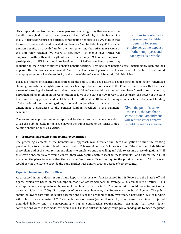This Report differs from other reform proposals in recognizing that some existing benefits must yield to put in place a program that is affordable, sustainable and fair to all. A particular source of difficulty for adjusting benefits is a 1997 statute that, for over a decade, extended to vested employees a "nonforfeitable right" to receive pension benefits as provided under the laws governing the retirement system at the time they reached five years of service.[52](#page-47-0) As events have transpired, employees with sufficient length of service—currently 89% of all employees participating in PERS at the State level and in TPAF—have been spared any

It is unfair to continue to preserve unaffordable benefits for some employees at the expense of other employees and taxpayers as a whole

reduction in their right to future pension benefit accruals. This has kept pension costs unsustainably high and has impaired the effectiveness of almost all<sup>[53](#page-47-1)</sup> subsequent reforms of pension benefits, as these reforms have been limited to employees who lacked the seniority at the time of the reform to claim nonforfeitable rights.

Because of claims of constitutional protection, the ability of the Legislature to reduce pension benefits for individuals claiming nonforfeitable rights protection has been questioned. As a result, the Commission believes that the best means of ensuring the freedom to effect meaningful reform would be to amend the State Constitution to confirm, notwithstanding anything in the Constitution or laws of the State of New Jersey to the contrary, the power of the State to reduce existing pension and health benefits. If sufficient health benefits savings can be achieved to permit funding

of the reduced pension obligations, it would be possible to include in the amendment a guarantee of the pension funding specified in the payment schedule.

The amendment process requires approval by the voters in a general election. Given the public's stake in the issue, having the public agree to the terms of this solution should be seen as a virtue.

Given the public's stake in the issue, the fact that a constitutional amendment will require voter approval should be seen as a virtue

## **6. Transferring Benefit Plans to Employee Entities**

The preceding elements of the Commission's approach would reduce the State's obligation to fund the existing pension plans to a predetermined sum each year. This would, in turn, facilitate transfer of the assets and liabilities of these plans and of the new retirement plans<sup>[54](#page-47-2)</sup> to employee entities willing and able to assume these obligations.<sup>[55](#page-47-3)</sup> If this were done, employees would control their own destiny with respect to these benefits - and assume the risk of managing the plans to ensure that the available funds are sufficient to pay for the provided benefits. This transfer would permit the State to provide the bond market with a much greater degree of cost certainty.

#### **Expected Investment Return Risks**

As discussed in more detail in our Status Report,<sup>[56](#page-47-4)</sup> the pension data discussed in this Report are the State's official figures, which are based on an assumption that plan assets will earn an average 7.9% annual rate of return. This assumption has been questioned by some of the plans' own actuaries.[57](#page-47-5) The Commission would prefer to see it set at a rate no higher than 7.0%. For purposes of consistency, however, this Report uses the State's figures. The public should be aware that rate-of-return assumptions affect the probability that, over time, a particular level of funding will in fact prove adequate. A 7.0% expected rate of return (rather than 7.9%) would result in a higher projected unfunded liability and in correspondingly higher contribution requirements. Assuming that those higher contributions were in fact made, this would result in less risk that funding would prove inadequate to meet the plans'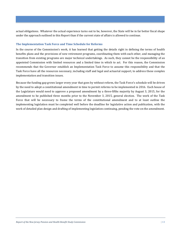actual obligations. Whatever the actual experience turns out to be, however, the State will be in far better fiscal shape under the approach outlined in this Report than if the current state of affairs is allowed to continue.

## **The Implementation Task Force and Time Schedule for Reforms**

In the course of the Commission's work, it has learned that getting the details right in defining the terms of health benefits plans and the provisions of new retirement programs, coordinating them with each other, and managing the transition from existing programs are major technical undertakings. As such, they cannot be the responsibility of an appointed Commission with limited resources and a limited time in which to act. For this reason, the Commission recommends that the Governor establish an Implementation Task Force to assume this responsibility and that the Task Force have all the resources necessary, including staff and legal and actuarial support, to address these complex implementation and transition issues.

Because the funding gap grows larger every year that goes by without reform, the Task Force's schedule will be driven by the need to adopt a constitutional amendment in time to permit reforms to be implemented in 2016. Each house of the Legislature would need to approve a proposed amendment by a three-fifths majority by August 3, 2015, for the amendment to be published three months prior to the November 3, 2015, general election. The work of the Task Force that will be necessary to frame the terms of the constitutional amendment and to at least outline the implementing legislation must be completed well before the deadline for legislative action and publication, with the work of detailed plan design and drafting of implementing legislation continuing, pending the vote on the amendment.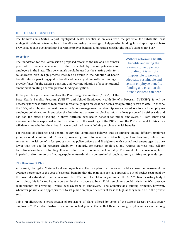## <span id="page-14-0"></span>**II. HEALTH BENEFITS**

The Commission's Status Report highlighted health benefits as an area with the potential for substantial cost savings.[58](#page-48-0) Without reforming health benefits and using the savings to help pension funding, it is simply impossible to provide adequate, sustainable and certain employee benefits funding at a cost that the State's citizens can bear.

#### **Overview**

The foundation for the Commission's proposed reform is the use of a benchmark plan with coverage equivalent to that provided by major private-sector employers in the State. This benchmark would be used as the starting point for a collaborative plan design process intended to result in the adoption of health benefit reforms providing quality benefits while also yielding sufficient savings to provide funds for the existing pensions and warrant adoption of a constitutional amendment creating a certain pension funding obligation.

Without reforming health benefits and using the savings to help pension funding, it is simply impossible to provide adequate, sustainable and certain employee benefits funding at a cost that the State's citizens can bear

If the plan design process involves the Plan Design Committees ("PDCs") of the

State Health Benefits Program ("SHBP") and School Employees Health Benefits Program ("SEHBP"), it will be necessary for these entities to improve substantially upon on what has been a disappointing record to date. In theory, the PDCs, which by statute must have equal labor/management membership, were created as a forum for employer– employee collaboration. In practice, this built-in mutual veto has blocked reform efforts proposed by either side and has had the effect of locking in above-Platinum-level health benefits for public employees.<sup>59</sup> Both labor and management have expressed acute frustration with the workings of the PDCs. How the PDCs respond to this crisis will determine whether they should have a continued role in defining employee health benefits.

For reasons of efficiency and general equity, the Commission believes that distinctions among different employee groups should be minimized. There are, however, grounds to make some distinctions, such as those for pre-Medicare retirement health benefits for groups such as police officers and firefighters with normal retirement ages that are lower than the age for Medicare eligibility. Similarly, for certain employees and retirees, fairness may call for transitional assistance or funding allowances for instances of individual hardship. This could take the form of a phasein period and/or temporary funding supplements—details to be resolved through statutory drafting and plan design.

## **The Benchmark Plan**

At present, the typical State or local employee is enrolled in a plan that has an actuarial value— the measure of the average percentage of the cost of essential benefits that the plan pays for, as opposed to out-of-pocket costs paid by the covered individual—that is far above the 90% level of a Platinum plan under the ACA.<sup>[60](#page-48-2)</sup> Given existing budget constraints, this is far too heavy a burden for the taxpayers to bear. Public employers could satisfy the ACA coverage requirements by providing Bronze-level coverage to employees. The Commission's guiding principle, however, whenever possible and appropriate, is to set public employee benefits at least as high as they would be in the private sector.

Table VII illustrates a cross-section of provisions of plans offered by some of the State's largest private-sector employers.<sup>61</sup> The table illustrates several important points. One is that there is a range of plan values, even among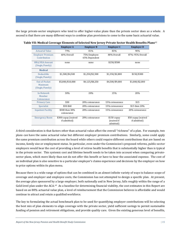the large private-sector employers who tend to offer higher-value plans than the private sector does as a whole. A second is that there are many different ways to combine plan provisions to come to the same basic actuarial value.

|                                             | ິ                                   |                               |                                         |                                    |
|---------------------------------------------|-------------------------------------|-------------------------------|-----------------------------------------|------------------------------------|
|                                             | <b>Employer A</b>                   | <b>Employer B</b>             | <b>Employer C</b>                       | <b>Employer D</b>                  |
| <b>Actuarial Value</b>                      | 79%                                 | 81%                           | 83%                                     | 90%                                |
| <b>Employer Premium</b><br>Contribution     | 60% Overall                         | 75% Employee<br>65% Dependent | 80% Overall                             | 87%-95% Overall                    |
| HRA/HSA Amount<br>(Single/Family)           | none                                | none                          | \$250/\$500                             | none                               |
| <b>Medical</b>                              |                                     |                               |                                         |                                    |
| Deductible<br>(Single/Family)               | \$1,500/\$4,500                     | \$1,250/\$2,500               | \$1,350/\$2,800                         | \$150/\$300                        |
| Out-of-Pocket<br>Maximum<br>(Single/Family) | \$5,000/\$10,000                    | \$4,125/\$8,250               | \$4,500/\$9,000                         | \$1,000/\$2,000                    |
| In-Network<br>Member<br>Coinsurance         | 30%                                 | 20%                           | 15%                                     | 20%                                |
| <b>Primary Care</b>                         | \$30                                | 20% coinsurance               | 15% coinsurance                         | \$15                               |
| Specialist                                  | \$30-\$60                           | 20% coinsurance               | 15% coinsurance                         | \$15 then 20%                      |
| <b>Inpatient Facility</b>                   | \$300 then 30%<br>coinsurance       | 20% coinsurance               | 15% coinsurance                         | 20% coinsurance                    |
| <b>Emergency Room</b>                       | \$300 copay (waived<br>if admitted) | 20% coinsurance               | $$150$ copay<br>(waived if<br>admitted) | \$50 copay (waived<br>if admitted) |

| Table VII: Medical Coverage Elements of Selected New Jersey Private Sector Health Benefits Plans <sup>62</sup> |  |  |
|----------------------------------------------------------------------------------------------------------------|--|--|
|----------------------------------------------------------------------------------------------------------------|--|--|

A third consideration is that factors other than actuarial value affect the overall "richness" of a plan. For example, two plans can have the same actuarial value but different employer premium contributions. Similarly, some could apply the same premium contribution across the board while others could require different contributions that are based on income, family size or employment status. In particular, even under the Commission's proposed reforms, public-sector employers would bear the cost of providing a level of retiree health benefits that is substantially higher than is typical in the private sector. This systemic cost and lifetime benefit needs to be taken into account when comparing privatesector plans, which more likely than not do not offer this benefit or have to bear the associated expense. The cost of an individual plan is also sensitive to a particular employer's claims experience and decisions by the employer on how to price options within its plan menu.

Because there is a wide range of options that can be combined in an almost infinite variety of ways to balance scope of coverage and employer and employee costs, the Commission has not attempted to design a specific plan. At present, the average plan sponsored by a large employer, both nationally and in New Jersey, falls roughly within the range of a Gold-level plan under the ACA.[63](#page-49-1) As a baseline for determining financial viability, the cost estimates in this Report are based on an 80% actuarial value plan, a level of reimbursement that the Commission believes is affordable and would continue to attract and retain a qualified workforce.

The key to formulating the actual benchmark plan to be used for quantifying employer contributions will be selecting the best mix of plan elements to align coverage with the private sector, yield sufficient savings to permit sustainable funding of pension and retirement obligations, and provide quality care. Given the existing generous level of benefits,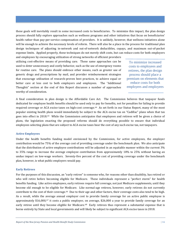these goals will inevitably result in some increased costs to beneficiaries. To minimize this impact, the plan design process should fully explore approaches such as wellness programs and other initiatives that focus on beneficiaries' health rather than pay-per-service compensation of providers. It is unlikely, however, that wellness initiatives alone will be enough to achieve the necessary levels of reform. There will also be a place in the process for traditional plan design techniques of adjusting in-network and out-of-network deductibles, copays, and maximum out-of-pocket expense limits. Applied properly, these techniques do not merely shift costs, but can reduce costs for both employers and employees by encouraging utilization of strong networks of efficient providers

utilizing cost-effective means of providing care. These same approaches can be used to deter unnecessary and costly behavior, such as the use of emergency rooms for routine care. The plans should embrace other means, such as greater use of generic drugs and prescriptions by mail, and provider reimbursement strategies that encourage utilization of research-proven best practices, to achieve equal or better care at less cost to both employers and employees. The "Additional Thoughts" section at the end of this Report discusses a number of approaches worthy of consideration.

To minimize increased costs to employees and retirees, the plan design process should place a premium on elements that reduce costs for both employers and employees

A final consideration in plan design is the Affordable Care Act. The Commission believes that taxpayer funds dedicated for employee health benefits should be used only to pay for benefits, not for penalties for failing to provide required coverage or ACA excise taxes on high-cost coverage.<sup>64</sup> As set forth in our Status Report, many of the most popular existing health plans would immediately be subject to the ACA excise tax on "Cadillac" plans when that tax goes into effect in 2018.[65](#page-50-1) While the Commission anticipates that employees and retirees will be given a choice of plans, the legislation enacting the proposed reforms should do everything possible to ensure that individual employees selecting plans that are subject to ACA excise taxes bear the cost of any such excise tax, not taxpayers.

## **Active Employees**

Under the health benefits funding model envisioned by the Commission, for active employees, the employer contribution would be 75% of the average cost of providing coverage under the benchmark plan. We also anticipate that the distribution of active employee contributions will be adjusted in an equitable manner within the current 3% to 35% range to increase the average employee contribution from approximately 18% to 25% without having an undue impact on low-wage workers. Seventy-five percent of the cost of providing coverage under the benchmark plan, however, is what public employers would pay.

#### **Early Retirees**

For the purposes of this discussion, an "early retiree" is someone who, for reasons other than disability, has retired or who will retire before becoming eligible for Medicare. These individuals represent a "perfect storm" for health benefits funding. Like active employees, early retirees require full coverage, not just Medicare supplements, until they become old enough to be eligible for Medicare. Like normal-age retirees, however, early retirees do not currently contribute to the cost of their coverage.[66](#page-50-2) Due to their age and other factors, their coverage costs also tend to be high. As a result, while the average annual employer cost to provide family coverage for an active public employee is approximately \$16,000,<sup>[67](#page-50-3)</sup> it costs a public employer, on average, \$26,000 a year to provide family coverage for an early retiree until they become eligible for Medicare.<sup>[68](#page-50-4)</sup> Early retirees thus represent a substantial expense that is borne entirely by State and local governments and will likely be subject to significant ACA excise taxes in 2018.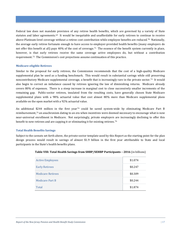Federal law does not mandate provision of any retiree health benefits, which are governed by a variety of State statutes and labor agreements.[69](#page-51-0) It would be inequitable and unaffordable for early retirees to conti[nue](#page-51-1) to receive above-Platinum-level coverage without a retiree cost contribution while employee benefits are reduced.70 Nationally, the average early retiree fortunate enough to have access to employer-provided health benefits (many employers do not offer this benefit at all) pays 40% of the cost of coverage.[71](#page-51-2) The essence of the benefit system currently in place, however, is that early retirees receive the same coverage active employees do, but without a contribution requirement.[72](#page-51-3) The Commission's cost projections assume continuation of this practice.

## **Medicare-eligible Retirees**

Similar to the proposal for early retirees, the Commission recommends that the cost of a high-quality Medicare supplemental plan be used as a funding benchmark. This would result in substantial savings while still preserving noncontributory Medicare supplemental coverage, a benefit that is increasingly rare in the private sector.[73](#page-51-4) It would also begin to correct an imbalance caused by retirees ignoring the law of diminishing returns. Medicare already covers 80% of expenses. There is a steep increase in marginal cost to close successively smaller increments of the remaining gap. Public-sector retirees, insulated from the resulting costs, have generally chosen State Medicare supplemental plans with a 98% actuarial value that cost almost 80% more than Medicare supplemental plans available on the open market with a 92% actuarial value.

An additional \$244 million in the first year<sup>[74](#page-51-5)</sup> could be saved system-wide by eliminating Medicare Part B reimbursement,[75](#page-51-6) an anachronism dating to an era when incentives were deemed necessary to encourage what is now near-universal enrollment in Medicare. Not surprisingly, private employers are increasingly declining to offer this benefit to new retirees and are capping it or eliminating it for existing retirees.<sup>[76](#page-51-7)</sup>

### **Total Health Benefits Savings**

Subject to the caveats set forth above, the private-sector template used by this Report as the starting point for the plan design process would result in savings of almost \$1.9 billion in the first year attributable to State and local participants in the State's health benefits plans.

| <b>Active Employees</b>  | \$1.074 |
|--------------------------|---------|
| <b>Early Retirees</b>    | \$0.247 |
| <b>Medicare Retirees</b> | \$0.309 |
| Medicare Part B          | \$0.244 |
| Total                    | \$1.874 |

| Table VIII: Total Health Savings from SHBP/SEHBP Participants - 2016 (in billions) |  |
|------------------------------------------------------------------------------------|--|
|------------------------------------------------------------------------------------|--|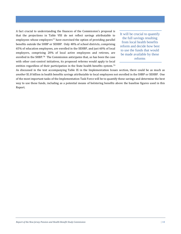A fact crucial to understanding the finances of the Commission's proposal is that the projections in Table VIII do not reflect savings attributable to employees whose employers<sup>[77](#page-51-8)</sup> have exercised the option of providing parallel benefits outside the SHBP or SEHBP. Only 48% of school districts, comprising 65% of education employees, are enrolled in the SEHBP, and just 60% of local employers, comprising 20% of local active employees and retirees, are enrolled in the SHBP.[78](#page-51-9) The Commission anticipates that, as has been the case with other cost-control initiatives, its proposed reforms would apply to local entities regardless of their participation in the State health benefits system.[79](#page-51-10)

It will be crucial to quantify the full savings resulting from local health benefits reform and decide how best to use the funds that would be made available by these reforms

As discussed in the text accompanying Table IX in the Implementation Issues section, there could be as much as *another* \$1.8 billion in health benefits savings attributable to local employees not enrolled in the SHBP or SEHBP. One of the most important tasks of the Implementation Task Force will be to quantify these savings and determine the best way to use these funds, including as a potential means of bolstering benefits above the baseline figures used in this Report.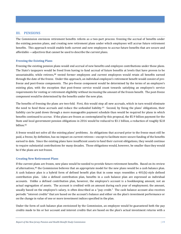## <span id="page-19-0"></span>**III. PENSIONS**

The Commission envisions retirement benefits reform as a two-part process: freezing the accrual of benefits under the existing pension plans, and creating new retirement plans under which employees will accrue future retirement benefits. This approach would enable both current and new employees to accrue future benefits that are secure and affordable —adjectives that cannot be used to describe the current plans.

## **Freezing the Existing Plans**

Freezing the existing pension plans would end accrual of new benefits and employee contributions under those plans. The State's taxpayers would [be](#page-51-11) freed from having to fund accrual of future benefits at levels that have proven to be unsustainable, while retirees, <sup>80</sup> vested former employees and current employees would retain all benefits earned through the date of the freeze. Under this approach, an individual employee's retirement benefit would consist of prefreeze and post-freeze components. The pre-freeze component would be determined by the terms of an employee's existing plan, with the exception that post-freeze service would count towards satisfying an employee's service requirements for vesting or retirement eligibility without increasing the amount of the frozen benefit. The post-freeze component would be determined by the benefits under the new plan.

The benefits of freezing the plans are two-fold. First, this would stop all new accruals, which in turn would eliminate the need to fund these accruals and reduce the unfunded liability.[81](#page-51-0) Second, by fixing the plans' obligations, their liability can be paid down through a more manageable payment schedule than would be required for plans in which benefits continued to accrue. If the plans are frozen as contemplated by this proposal, the \$5.9 billion payment for the State and local government pension obligations in 2016 would be reduced to \$3.1 billion, a reduction of roughly \$2.8 billion.[82](#page-51-12)

A freeze would not solve all the existing plans' problems. As obligations that accrued prior to the freeze must still be paid, a freeze, by definition, has no impact on current retirees—except to facilitate more secure funding of the benefits earned to date. Since the existing plans have insufficient assets to fund their current obligations, they would continue to require substantial contributions for many decades. Those obligations would, however, be smaller than they would be if the plans are not frozen.

## **Creating New Retirement Plans**

If the current [pla](#page-51-13)ns are frozen, new plans would be needed to provide future retirement benefits. Based on its review of alternatives,<sup>83</sup> the Commission believes that an appropriate model for the new plans would be a cash balance plan. A cash balance plan is a hybrid form of defined benefit plan that in some ways resembles a  $401(k)$ -style defined contribution plan. Like a defined contribution plan, benefits in a cash balance plan are expressed as individual accounts. Unlike a defined contribution plan, however, the employee's account is a bookkeeping amount, not an actual segregation of assets. The account is credited with an amount during each year of employment; the amount, usually based on the employee's salary, is often described as a "pay credit." The cash balance account also receives periodic "interest credits" that are based on the account's balance and either on the plan's investment performance or on the change in value of one or more investment indices specified in the plan.

Under the form of cash balance plan envisioned by the Commission, an employee would be guaranteed both the pay credits made to his or her account and interest credits that are based on the plan's actual investment returns with a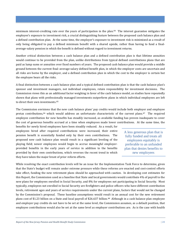minimum interest-crediting rate over the years of participation in the plan.[84](#page-51-14) The interest guarantee mitigates the employee's exposure to investment risk, a crucial distinguishing feature between the proposed cash balance plan and a defined contribution plan. At the same time, the employer's exposure to investment risk is minimized as a result of only being obligated to pay a defined minimum benefit with a shared upside, rather than having to fund a finalaverage-salary pension in which the benefit is defined without regard to investment returns.

Another critical distinction between a cash balance plan and a defined contribution plan is that lifetime annuities would continue to be provided from the plan, unlike distributions from typical defined contributions plans that are paid as lump sums or annuities over fixed numbers of years. The proposed cash balance plan would provide a middle ground between the current final–average-salary defined benefit plan, in which the employer costs are uncertain and all risks are borne by the employer, and a defined contribution plan in which the cost to the employer is certain but the employee bears all the risks.

A final distinction between a cash balance plan and a typical defined contribution plan is that the cash balance plan's sponsor and investment managers, not individual employees, retain responsibility for investment decisions. The Commission views this as an additional factor weighing in favor of the cash balance model, as studies have repeatedly shown that plans with professionally managed investments outperform plans in which individual employees are left to direct their own investments.<sup>[85](#page-51-15)</sup>

The Commission envisions that the new cash balance plans' pay credits would include both employer and employee pretax contributions,[86](#page-51-16) which would address an unfortunate characteristic of the current plans.[87](#page-51-17) The required employee contribution for new benefits has steadily increased, as available funding has proven inadequate to cover the cost of generous benefits accrued at a time when employees made lower contributions. At the same time, the

benefits for newly hired employees have been steadily reduced. As a result, for employees hired after required contributions were increased, their entire pension benefit is essentially funded only by their own contributions. The proposed new cash balance plan would result in a significant leveling of the playing field; newer employees would begin to accrue meaningful employerprovided benefits in the early years of service in addition to the benefits provided by their own contributions, which reverses the recent trend in which they have taken the major brunt of prior reform efforts.

A less generous plan that is fully funded and treats all employees equitably is preferable to an unfunded plan that denies benefits to new employees

While resolving the exact contribution levels will be an issue for the Implementation Task Force to determine, given that the State's budget will remain under extreme pressure while these reforms are enacted and cost-control efforts take effect, funding the new retirement plans should be approached with caution. In developing cost estimates for this Report, the Commission used as a baseline that State and local governments would contribute 4% of payroll to the new plans for employees enrolled in Social Security, and 8% for employees not participating in Social Security. Most typically, employees not enrolled in Social Security are firefighters and police officers who have different contribution levels, retirement ages and years of service requirements under the current plans, factors that would not be changed by the Commission's proposal. These baseline assumptions would result in an annual cost for the new retirement plans cost of \$1.23 billion on a State and local payroll of \$26.637 billion.[88](#page-51-18) Although in a cash balance plan employee and employer pay credits do not have to be set at the same level, the Commission assumes, as a default position, that employee contributions would also be set at the same level as employer contributions are. As is the case with health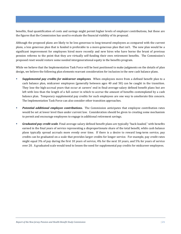benefits, final quantification of costs and savings might permit higher levels of employer contributions, but these are the figures that the Commission has used to evaluate the financial viability of its proposal.

Although the proposed plans are likely to be less generous to long-tenured employees as compared with the current plans, a less generous plan that is funded is preferable to a more-generous plan that isn't. The new plan would be a significant improvement for employees hired more recently and new hires who have borne the brunt of previous pension reforms to the point that they are virtually self-funding their own retirement benefits. The Commission's proposed reset would restore some needed intergenerational equity in the benefits program.

While we believe that the Implementation Task Force will be best positioned to make judgments on the details of plan design, we believe the following plan elements warrant consideration for inclusion in the new cash balance plans.

- *Supplemental pay credits for midcareer employees*. When employees move from a defined benefit plan to a cash balance plan, midcareer employees (generally between ages 40 and 50) can be caught in the transition. They lose the high-accrual years that occur at careers' end in final-average-salary defined benefit plans but are left with less than the length of a full career in which to accrue the amount of benefits contemplated by a cash balance plan. Temporary supplemental pay credits for such employees are one way to ameliorate this concern. The Implementation Task Force can also consider other transition approaches.
- **Potential additional employee contributions.** The Commission anticipates that employee contribution rates would be set at lower level than under current law.Consideration should be given to creating some mechanism to permit and encourage employees to engage in additional retirement savings.
- *Graduated pay credit scale.* Final-average-salary defined benefit plans are typically "back-loaded," with benefits earned in the final years of service representing a disproportionate share of the total benefit, while cash balance plans typically spread accruals more evenly over time. If there is a desire to reward long-term service, pay credits can be graduated on a scale that provides larger credits for longer service. For example, pay credit rates might equal 3% of pay during the first 10 years of service, 4% for the next 10 years, and 5% for years of service over 20. A graduated scale would tend to lessen the need for supplemental pay credits for midcareer employees.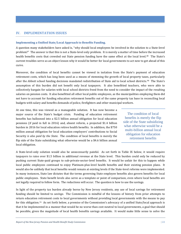## <span id="page-22-0"></span>**IV. IMPLEMENTATION ISSUES**

#### **Implementing a Unified State/Local Approach to Benefits Funding.**

A question many stakeholders have asked is, "why should local employees be involved in the solution to a State-level problem?" The answer is that this is not a State-level only problem. It is merely a matter of time before the increased health benefits costs that crowded out State pension funding have the same effect at the local level.<sup>[89](#page-51-19)</sup> The State's current troubles serve as an object lesson why it would be better for local governments to act now to get ahead of this curve.

Moreover, the condition of local benefits cannot be viewed in isolation from the State's payment of education retirement costs, which has long been used as a means of stemming the growth of local property taxes, particularly after the *Abbott* school funding decisions mandated redistribution of State aid to local school districts.[90](#page-51-0) The State's assumption of this burden did not benefit only local taxpayers. It also benefitted teachers, who were able to collectively bargain for salaries with local school districts freed from the need to consider the impact of the resulting salaries on pension costs. It also benefitted all other local public employees, as the municipalities employing them did not have to account for funding education retirement benefits out of the same property tax base in reconciling local budgets with salary and benefits demands of police, firefighters and other municipal workers.

At one time, this was viewed as a manageable solution. It has now become a major source of the State's budget crisis. Funding of education retirement benefits has ballooned into a \$2.5 billion annual obligation for local education pensions (if paid in full in 2016) and, absent reform, a projected \$1.4 billion burden in 2016 for local education retiree health benefits. In addition, the \$750 million annual obligation for local education employers' contributions to Social Security *is also paid by the State*. The condition of local benefits is merely the flip side of the State subsidizing what otherwise would be a \$4.6 billion annual local obligation.

The condition of local benefits is merely the flip side of the State subsidizing what otherwise would be a multi-billion annual local obligation for education retirement benefits

A State-level-only solution would also be unnecessarily painful. As set forth in Table IX below, it would require taxpayers to raise over \$1.5 billion in additional revenue at the State level. This burden could only be reduced by pushing current State-paid groups to sub-private-sector-level benefits. It would be unfair for this to happen while local public employees continued to enjoy Platinum-plus-level health benefits and their existing pension plans. It would also be unlikely that local benefits would remain at existing levels if the State-level reforms were implemented. In many instances, State law dictates that the terms governing State employee benefits also govern benefits for local public employees. State benefit levels also serve as a template or point of comparison, even where local benefits are not legally required to follow form. The reductions will occur. The question is how to use the savings.

In light of the property tax burden already borne by New Jersey residents, any use of local savings for retirement funding should be limited to *savings.* The Commission is mindful of the lessons of history from prior attempts to return education retirement costs to local governments without providing local governments with the means to pay for this obligation.[91](#page-51-20) As set forth below, a premise of the Commission's advocacy of a unified State/local approach is that it be implemented in a manner that would be no worse than cost-neutral to local governments, a goal that should be possible, given the magnitude of local health benefits savings available. It would make little sense to solve the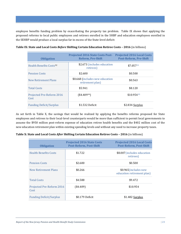employee benefits funding problem by exacerbating the property tax problem. Table IX shows that applying the proposed reforms to local public employees and retirees enrolled in the SHBP and education employees enrolled in the SEHBP would produce a local surplus far in excess of the State-level deficit:

| <b>Obligation</b>                         | <b>Projected 2016 State Costs Post-</b><br><b>Reform, Pre-Shift</b> | <b>Projected 2016 Local Costs</b><br><b>Post-Reform, Pre-Shift</b> |
|-------------------------------------------|---------------------------------------------------------------------|--------------------------------------------------------------------|
| <b>Health Benefits Costs<sup>92</sup></b> | \$2.673 (includes education<br>retirees)                            | \$7.057 <sup>93</sup>                                              |
| <b>Pension Costs</b>                      | \$2.600                                                             | \$0.500                                                            |
| New Retirement Plans                      | \$0.668 (includes new education<br>retirement plan)                 | \$0.563                                                            |
| <b>Total Costs</b>                        | \$5.941                                                             | \$8.120                                                            |
| Projected Pre-Reform 2016<br>Cost         | (\$4.40994)                                                         | \$10.95495                                                         |
| <b>Funding Deficit/Surplus</b>            | \$1.532 Deficit                                                     | \$2.834 Surplus                                                    |

**Table IX: State and Local Costs** *Before* **Shifting Certain Education Retiree Costs – 2016** (in billions)

As set forth in Table X, the savings that would be realized by applying the benefits reforms proposed for State employees and retirees to their local-level counterparts would be more than sufficient to permit local governments to assume the \$950 million post-reform expense of education retiree health benefits and the \$402 million cost of the new education retirement plan within existing spending levels and without any need to increase property taxes.

| <b>Obligation</b>                 | <b>Projected 2016 State Costs</b><br><b>Post-Reform, Post-Shift</b> | <b>Projected 2016 Local Costs</b><br><b>Post-Reform, Post-Shift</b> |
|-----------------------------------|---------------------------------------------------------------------|---------------------------------------------------------------------|
| <b>Health Benefits Costs</b>      | \$1.722                                                             | \$8.007(includes education<br>retirees)                             |
| <b>Pension Costs</b>              | \$2.600                                                             | \$0.500                                                             |
| New Retirement Plans              | \$0.266                                                             | \$0.965(includes new<br>education retirement plan)                  |
| <b>Total Costs</b>                | \$4.588                                                             | \$9.472                                                             |
| Projected Pre-Reform 2016<br>Cost | $(*4.409)$                                                          | \$10.954                                                            |
| <b>Funding Deficit/Surplus</b>    | \$0.179 Deficit                                                     | \$1.482 Surplus                                                     |

**Table X: State and Local Costs** *After* **Shifting Certain Education Retiree Costs – 2016** (in billions)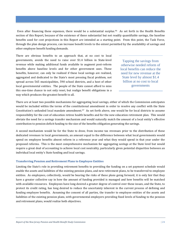Even after financing these expenses, there would be a substantial surplus.<sup>96</sup> As set forth in the Health Benefits section of this Report, because of the existence of these substantial but not readily quantifiable savings, the baseline benefits used for cost projections in this Report are intended as a starting point. From this point, the Task Force, through the plan design process, can increase benefit levels to the extent permitted by the availability of savings and other employee benefit funding demands.

There are obvious benefits to an approach that, at no cost to local governments, avoids the need to raise over \$1.4 billion in State-level revenue while making additional funds available to augment post-reform benefits above baseline levels and for other government uses. These benefits, however, can only be realized if these local savings are realized, aggregated and dedicated to the State's most pressing fiscal problem, not spread across 565 municipalities, 590 school districts, and a host of other local governmental entities. The people of the State cannot afford to miss this one-time chance to not only reset, but realign benefit obligations in a way which produces the greatest benefit to all.

Tapping the savings from otherwise needed reform of local benefits can reduce the need for new revenue at the State level by almost \$1.4 billion at no cost to local governments

There are at least two possible mechanisms for aggregating local savings, either of which the Commission anticipates would be included within the terms of the constitutional amendment in order to resolve any conflict with the State Constitution's unfunded local mandate amendment.[97](#page-51-25) As set forth above, one would be for local districts to assume responsibility for the cost of education retiree health benefits and for the new education retirement plan. This would obviate the need for a savings transfer mechanism and would naturally match the amount of a local entity's effective contribution to pension deficit funding to the size of the benefits obligation generating the savings.

A second mechanism would be for the State to draw, from income tax revenues prior to the distribution of these dedicated revenues to local governments, an amount equal to the difference between what local governments would spend on employee benefits absent reform in a reference year and what they would spend in that year under the proposed reforms. This is the most comprehensive mechanism for aggregating savings at the State level but would require a great deal of accounting to achieve local cost neutrality, particularly given potential disparities between an individual local entity's State funding and local savings.

## **Transferring Pension and Retirement Plans to Employee Entities**

Limiting the State's role in providing retirement benefits to providing the funding on a set payment schedule would enable the assets and liabilities of the existing pension plans, and new retirement plans, to be transferred to employee entities. As employees, collectively, would be bearing the risks of these plans going forward, it is only fair that they have a greater collective say in how the amount of funding provided is managed and how benefits will be matched with available resources. Employees have long desired a greater degree of control over these issues, and the State, to protect its credit rating, has long desired to reduce the uncertainty inherent in the current process of defining and funding employee benefits. Assuming the consent of all parties, the transfer to employee entities of the assets and liabilities of the existing pension plans, with governmental employers providing fixed levels of funding to the pension and retirement plans, would realize both objectives.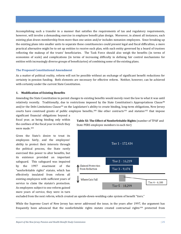Accomplishing such a transfer in a manner that satisfies the requirements of tax and regulatory requirements, however, will involve a demanding exercise in employee benefit plan design. Moreover, in almost all instances, each existing plan draws membership from more than one union and/or includes nonunion employees. Since breaking up the existing plans into smaller units to separate these constituencies could present legal and fiscal difficulties, a more practical alternative might be to set up entities to receive each plan, with each entity governed by a board of trustees reflecting the makeup of the trusts' beneficiaries. The Task Force should also weigh the benefits (in terms of economies of scale) and complications (in terms of increasing difficulty in defining fair control mechanisms for entities with increasingly diverse groups of beneficiaries) of combining some of the existing plans.

#### **The Proposed Constitutional Amendment**

As a matter of political reality, reform will not be possible without an exchange of significant benefit reductions for certainty in pension funding. Both elements are necessary for effective reform. Neither, however, can be achieved with certainty under the current State Constitution.

## **1. Modification of Existing Benefits**

Amending the State Constitution to permit changes to existing benefits would merely reset the law to what it was until relatively recently. Traditionally, due to restrictions imposed by the State Constitution's Appropriations Clause<sup>[98](#page-51-26)</sup> and/or the Debt Limitations Clause<sup>[99](#page-51-27)</sup> on the Legislature's ability to create binding, long-term obligations, New Jersey courts have construed grants of public employee benefits,<sup>[100](#page-51-20)</sup> like other contracts<sup>[101](#page-51-28)</sup> and statutes<sup>[102](#page-51-29)</sup> that impose significant financial obligations beyond a

fiscal year, as being binding only within the confines of the fiscal year in which they were made.<sup>[103](#page-51-1)</sup>

Given the State's desire to treat its employees fairly, and the employees' ability to protect their interests through the political process, the State rarely exercised this power to alter benefits, but its existence provided an important safeguard. This safeguard was impaired by the 1997 enactment of the "nonforfeitable rights" statute, which has effectively insulated from reform all existing employees with sufficient years of service to claim the statute's protection. As employees subject to one reform gained more years of service, they were in turn **Table XI: The Effect of Nonforfeitable Rights** (number of TPAF and State PERS employee members in each tier)



excluded from the next reform, which created an upside-down-wedding-cake system of benefit "tiers."

While the Supreme Court of New Jersey has never addressed the issue, in the years after 1997, the argument has frequently been advanced that the nonforfeitable rights statute created contractual rights[104](#page-51-2) protected from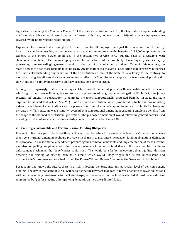legislative revision by the Contracts Clause<sup>[105](#page-51-30)</sup> of the State Constitution. In 2010, the Legislature stopped extending nonforfeitable rights to employees hired in [the](#page-51-16) future.[106](#page-51-31) By then, however, almost 90% of current employees were covered by the nonforfeitable rights statute.107

Experience has shown that meaningful reform must involve all employees, not just those who were most recently hired. It is simply impossible, not to mention unfair, to continue to preserve the benefits of 198,000 employees at the expense of the 24,000 newer employees in the bottom two service tiers. On the basis of discussions with stakeholders, we believe that many employees would prefer to avoid the possibility of winning a Pyrrhic victory by preserving some exceedingly generous benefits at the cost of draconian cuts to others. To avoid this outcome, the State's power to alter these benefits must be clear. An amendment to the State Constitution that expressly authorizes the State, notwithstanding any provision of the Constitution or laws of the State of New Jersey to the contrary, to modify existing benefits to the extent necessary to effect the Commission's proposed reforms would provide this clarity and the flexibility necessary to craft a workable, long-term solution.

Although used sparingly, states as sovereign entities have the inherent power in their constitutions to determine which rights their laws will recognize and to use this power to adjust government obligations.<sup>[108](#page-51-32)</sup> In fact, New Jersey recently *did* amend its constitution to eliminate a claimed constitutionally protected benefit. In 2012 the State Supreme Court held that Art. VI. Sec. VI ¶ 6 of the State Constitution, which prohibited reduction in pay of sitting judges, locked benefit contribution rates in place at the time of a judge's appointment and prohibited subsequent increases.[109](#page-51-33) This outcome was promptly reversed by a constitutional amendment excepting employee benefits from the scope of the claimed constitutional protection. The proposed amendment would follow the general pattern used to extinguish the judges' claim that their existing benefits could not be changed.[110](#page-51-34)

## **2. Creating a Sustainable and Certain Pension Funding Obligation**

If benefit obligations, particularly health benefits costs, can be reduced to a sustainable level, the Commission believes that a constitutional amendment should provide a mechanism to guarantee the pension funding obligations defined in this proposal. A constitutional amendment permitting the reduction of benefits and implementation of these reforms, and also compelling compliance with the payment schedule intended to fund these obligations, would provide an enforcement mechanism that beneficiaries could trust. This would be a far better outcome than a judicial decision ordering full funding of existing benefits, a result which would likely trigger the "bleak, burdensome and unacceptable" consequences described in the "The Future Without Reform" section of the Overview of this Report.

Because no one knows the future, there is a risk in locking the State into any particular level of pension benefit funding. The key to managing this risk will be to define the payment mandate in terms adequate to cover obligations without being unduly burdensome to the State's taxpayers. Whatever funding level is selected, it must leave sufficient room in the budget for meeting other growing demands on the State's limited funds.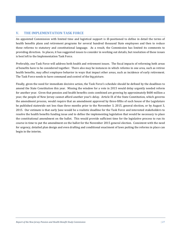# <span id="page-27-0"></span>**V. THE IMPLEMENTATION TASK FORCE**

An appointed Commission with limited time and logistical support is ill-positioned to define in detail the terms of health benefits plans and retirement programs for several hundred thousand State employees and then to reduce these reforms to statutory and constitutional language. As a result, the Commission has limited its comments to providing direction. In places, it has suggested issues to consider in working out details, but resolution of these issues is best left to the Implementation Task Force.

Preferably, one Task Force will address both health and retirement issues. The fiscal impacts of reforming both areas of benefits have to be considered together. There also may be instances in which reforms in one area, such as retiree health benefits, may affect employee behavior in ways that impact other areas, such as incidence of early retirement. The Task Force needs to have command and control of the big picture.

Finally, given the need for immediate decisive action, the Task Force's schedule should be defined by the deadlines to amend the State Constitution this year. Missing the window for a vote in 2015 would delay urgently needed reform for another year. Given that pension and health benefits costs combined are growing by approximately \$600 million a year, the people of New Jersey cannot afford another year's delay. Article IX of the State Constitution, which governs the amendment process, would require that an amendment approved by three-fifths of each house of the Legislature be published statewide not less than three months prior to the November 3, 2015, general election, or by August 3, 2015. Our estimate is that early June would be a realistic deadline for the Task Force and interested stakeholders to resolve the health benefits funding issue and to define the implementing legislation that would be necessary to place the constitutional amendment on the ballot. This would provide sufficient time for the legislative process to run its course in time to put the amendment on the ballot for the November 2015 general election. Consistent with the need for urgency, detailed plan design and even drafting and conditional enactment of laws putting the reforms in place can begin in the interim.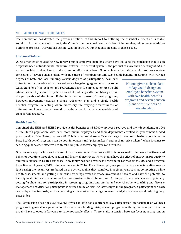## <span id="page-28-0"></span>**VI. ADDITIONAL THOUGHTS**

The Commission has devoted the previous sections of this Report to outlining the essential elements of a viable solution. In the course of its work, the Commission has considered a variety of issues that, while not essential to outline its proposal, warrant discussion. What follows are our thoughts on some of these issues.

## **Structural Reform**

Our six months of navigating New Jersey's public employee benefits system have led us to the conclusion that it is in desperate need of fundamental structural reform. The current system is the product of more than a century of *ad hoc* expansion, historical accidents, and scattershot efforts at reform. No one given a clean slate would produce a system consisting of seven pension plans with five tiers of membership and two health benefits programs, with various

degrees of State and local funding, various degrees of participation, local-level opt-outs and an overlay of various collective bargaining agreements. In some ways, transfer of the pension and retirement plans to employee entities would add additional layers to this system as a whole, while greatly simplifying it from the perspective of the State. If the State retains control of these programs, however, movement towards a single retirement plan and a single health benefits program, reflecting where necessary the varying circumstances of different employee groups, would provide a much more manageable and transparent structure.

No one given a clean slate today would design an employee benefits system with two health benefits programs and seven pension plans with five tiers of membership

## **Health Benefits**

Combined, the SHBP and SEHBP provide health benefits to 885,000 employees, retirees, and their dependents, or 10% of the State's population, with even more public employees and their dependents enrolled in government-funded plans outside of the State programs.[111](#page-51-20) This is a market share sufficiently large to warrant thinking about how the State health benefits systems can be both innovators and "price makers," rather than "price takers," when it comes to securing quality, cost-effective health care for public-sector employees and retirees.

One obvious approach is an increased focus on wellness. Programs with this focus seek to improve health-related behavior over time through education and financial incentives, which in turn have the effect of improving productivity and reducing health-related expenses. New Jersey has had a wellness program for retirees since 2007 and a program for active employees, NJWELL, that commenced in 2014. For active employees, participants receive incentive awards (gift cards); the incentives are based on the activities that they complete in a given year, such as completing on-line health assessments and getting biometric screenings, which increase awareness of health and have the potential to identify health issues in time for earlier, more cost-effective intervention. Active participants also can earn points by getting flu shots and for participating in screening programs and on-line and over-the-phone coaching and diseasemanagement activities for participants identified to be at-risk. At later stages in the program, a participant can earn credits by achieving goals, such as becoming a nonsmoker, reducing cholesterol and glucose levels, and reducing body mass index.

The Commission does not view NJWELL (which to date has experienced low participation) in particular or wellness programs in general as a panacea for the immediate funding crisis, as even programs with high rates of participation usually have to operate for years to have noticeable effects. There is also a tension between focusing a program on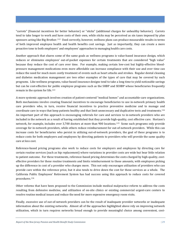"carrots" (financial incentives for better behavior) or "sticks" (additional charges for unhealthy behavior). Carrots tend to take longer to work and have costs of their own, while sticks may be perceived as sin taxes imposed by plan sponsors acting like Big Brother.[112](#page-51-28) Used correctly, however, wellness plans can produce measurable results in terms of both improved employee health and health benefits cost savings. Just as importantly, they can create a more proactive tone to both employers' and employees' approaches to managing health care costs.

Another approach that shares some of the same goals as wellness programs is value-based insurance design, which reduces or eliminates employees' out-of-pocket expenses for certain treatments that are considered "high value" because they reduce the cost of care over time. For example, making certain low-cost but highly-effective bloodpressure management medications even more affordable can increase compliance with their use and over time can reduce the need for much more costly treatment of events such as heart attacks and strokes. Regular dental cleaning and diabetes medication management are two other examples of the types of care that may be covered by such programs. Like wellness programs, value-based insurance designs tend to take a long time to yield noticeable savings but can be cost-effective for public employee programs such as the SHBP and SEHBP whose beneficiaries frequently remain in the system for life.<sup>[113](#page-51-29)</sup>

A more systemic approach involves creation of patient-centered "medical homes" and accountable-care organizations. Both mechanisms involve creating financial incentives to encourage beneficiaries to use in-network primary health care providers who, in turn, receive financial incentives to practice preventive medicine and to manage and coordinate care in ways that keep patients healthy and that limit unnecessary and duplicative tests and treatments.[114](#page-51-12) An important part of this approach is encouraging referrals for care and services to in-network providers who are included in the network as a result of having established that they provide high-quality, cost effective care. Horizon's network, for example, includes over 3,700 doctors at more than 900 locations.[115](#page-51-2) Some such programs only provide coverage for in-network providers, while others reduce reimbursement for out-of-network providers. While this can increase costs for beneficiaries who persist in utilizing out-of-network providers, the goal of these programs is to reduce costs for both employers and employees by directing patients to providers who will provide the same quality care at less cost.

Reference-based pricing programs also work to reduce costs for employers and employees by directing care for certain routine services (such as hip replacement) where variations in provider costs are wide but bear little relation to patient outcome. For these treatments, reference-based pricing determines the costs charged by high-quality, costeffective providers for these routine treatments and limits reimbursement to those amounts, with employees picking up the difference in cost of a provider who charges more. This not only encourages utilization of providers who can provide care within the reference price, but it also tends to drive down the cost for these services as a whole. The California Public Employees' Retirement System has had success using this approach to reduce costs for covered procedures.[116](#page-51-30)

Other reforms that have been proposed to the Commission include medical malpractice reform to address the costs resulting from defensive medicine, and utilization of on-site clinics or existing commercial urgent-care centers to resolve routine medical issues and reduce the need for more expensive emergency room visits.

Finally, excessive use of out-of-network providers can be the result of inadequate provider networks or inadequate information about the existing networks. Almost all of the approaches highlighted above rely on improving network utilization, which in turn requires networks broad enough to provide meaningful choice among convenient, cost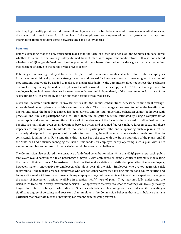effective, high-quality providers. Moreover, if employees are expected to be educated consumers of medical services, the system will work better for all involved if the employees are empowered with easy-to-access, transparent information about providers' costs, network status and quality of care.[117](#page-51-31)

## **Pensions**

Before suggesting that the new retirement plans take the form of a cash balance plan, the Commission considered whether to retain a final-average-salary defined benefit plan with significant modifications. It also considered whether a 401(k)-type defined contribution plan would be a better alternative. In the right circumstances, either model can be effective in the public or the private sector.

Retaining a final-average-salary defined benefit plan would maintain a familiar structure that protects employees from investment risk and provides a strong incentive and reward for long-term service. However, given the extent of modifications that would be needed to make such a plan affordable,<sup>[118](#page-51-35)</sup> the Commission does not believe that replacing one final-average-salary defined benefit plan with another would be the best approach.[119](#page-51-32) The certainty provided to employees by such plans—a fixed retirement income determined independently of the investment performance of the assets funding it—is created by the plan sponsor bearing virtually all risks.

Given the inevitable fluctuations in investment results, the annual contributions necessary to fund final-averagesalary defined benefit plans are variable and unpredictable. The final average salary used to define the benefit is not known until after the benefit it defines has been earned, and the total underlying obligation cannot be known with precision until the last participant has died. Until then, the obligation must be estimated by using a complex set of demographic and economic assumptions. Since all of the elements of the formula that are used to define final pension benefits are multipliers, even small deviations between actual and assumed figures can have large impacts, and these impacts are multiplied over hundreds of thousands of participants. The entity operating such a plan must be extremely disciplined over periods of decades in restricting benefit grants to sustainable levels and then in consistently funding them. For a long time, this has not been the case with the State's operation of the plans. And if the State has had difficulty managing the risk of this model, an employee entity operating such a plan with a set amount of funding and no control over salaries would be even more challenged.

The Commission also explored the alternative of a defined contribution plan.<sup>120</sup> In this 401(k)-style approach, public employers would contribute a fixed percentage of payroll, with employees enjoying significant flexibility in investing the funds in their accounts. The cost-control features that make a defined contribution plan attractive to employers, however, make it unattractive to employees, who alone bear all the risk. Employees who are too aggressive risk catastrophe if the market crashes; employees who are too conservative risk missing out on good equity returns and facing retirement with insufficient assets. Many employees may not have sufficient investment expertise to navigate the array of investment options available in a typical 401(k)-type of plan. They may not fully understand the risk/return trade-off in every investment decision<sup>[121](#page-51-37)</sup> or appreciate the very real chance that they will live significantly longer than life expectancy charts indicate. Since a cash balance plan mitigates these risks while providing a significant degree of certainty and cost control to employers, the Commission believes that a cash balance plan is a particularly appropriate means of providing retirement benefits going forward.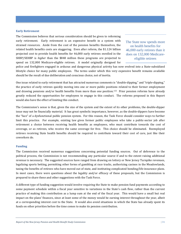#### **Early Retirement**

The Commission believes that serious consideration should be given to reforming early retirement. Early retirement is an expensive benefit in a system with strained resources. Aside from the cost of the pension benefits themselves, the related health benefits costs are staggering. Even after reform, the \$1.124 billion projected cost to provide health benefits for 46,000 early retirees enrolled in the SHBP/SEHBP is *higher* than the \$848 million these programs are projected to spend on 132,000 Medicare-eligible retirees. A model originally designed for

The State now spends more on health benefits for 46,000 early retirees than it does on 132,000 Medicareeligible retirees

police and firefighters engaged in arduous and dangerous physical activity has now evolved into a State-subsidized lifestyle choice for many public employees. The terms under which this very expensive benefit remains available should be the result of due deliberation and conscious choice, not of inertia.

One issue related to early retirement that has attracted numerous comments is "double-dipping," and "triple-dipping," the practice of early retirees quickly moving into one or more public positions related to their former employment and drawing pensions and/or health benefits from more than one position.[122](#page-51-38) Prior pension reforms have already greatly reduced the opportunities for employees to engage in this conduct. The reforms proposed in this Report would also have the effect of limiting this conduct.

The Commission's sense is that, given the size of the system and the extent of its other problems, the double-dipper issue may not be financially material. It has great symbolic importance, however, as the double-dippers have become the "face" of a dysfunctional public pension system. For this reason, the Task Force should consider ways to further limit this practice. For example, existing law gives former public employees who take a public-sector job after retirement a choice between receiving health benefits as employees, who must contribute towards the cost of coverage, or as retirees, who receive the same coverage for free. This choice should be eliminated. Reemployed retirees receiving State health benefits should be required to contribute toward their cost of care, just like their coworkers do.

## **Funding**

The Commission received numerous suggestions concerning potential funding sources. Out of deference to the political process, the Commission is not recommending any particular source if and to the extent raising additional revenue is necessary. The suggested sources have ranged from drawing on lottery or New Jersey Turnpike revenues, legalizing sports betting, permitting other forms of gambling at race tracks, authorizing casinos in the Meadowlands, taxing the benefits of retirees who have moved out of state, and instituting complicated bonding/life-insurance plans. In most cases, there were questions about the legality and/or efficacy of these proposals, but the Commission is prepared to share these and other suggestions with the Task Force.

A different type of funding suggestion would involve requiring the State to make pension fund payments according to some payment schedule within a fiscal year sensitive to variations in the State's cash flow, rather than the current practice of making this contribution as a lump sum at the end of the fiscal year. This would have a small but real impact on the plans' finances, since at least some of the money would be earning interest throughout the year, albeit at a corresponding interest cost to the State. It would also avoid situations in which the State has already spent its funds on other priorities before the time comes to make its pension contribution.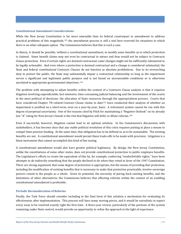## **Constitutional Amendment Considerations**

While the New Jersey Constitution is far more amenable than its federal counterpart to amendment to address practical problems of this magnitude,[123](#page-51-39) the amendment process is still a tool best reserved for situations in which there is no other adequate option. The Commission believes that this is such a case.

In theory, it should be possible, without a constitutional amendment, to modify some benefits as to which protection is claimed. Some benefit claims may not even be contractual in nature and thus would not be subject to Contracts Clause protection. Even if certain rights are deemed contractual, some changes might not be sufficiently substantial to be legally actionable. And even where a protection is deemed contractual and a change is considered substantial, the State and federal constitutional Contracts Clauses do not function as absolute prohibitions. Due to its overarching duty to protect the public, the State may substantially impair a contractual relationship so long as the impairment serves a significant and legitimate public purpose and is not based on unreasonable conditions or is otherwise unrelated to appropriate governmental objectives.[124](#page-51-0)

The problem with attempting to adjust benefits within the context of a Contracts Clause analysis is that it requires litigation involving unpredictable, fact-intensive, time-consuming judicial balancing and the involvement of the courts in the most political of decisions: the allocation of State resources through the appropriations process. Courts that have considered Chapter 78-related Contract Clause claims to date<sup>[125](#page-51-24)</sup> have conducted their analysis of whether an impairment is justified on a short-term, even on a year-by-year, basis. A retirement system cannot be run with this degree of perpetual uncertainty. One of the reasons cited by Fitch for maintaining a "Negative Outlook" on its already low "A" rating for New Jersey's bonds is the risk that litigation will defer or dilute reforms.<sup>[126](#page-51-28)</sup>

Even if successful, however, litigation cannot lead to an optimal solution. In the Commission's discussions with stakeholders, it has become clear that any viable political resolution of this crisis requires putting in place a means to compel State pension funding. At the same time, that obligation has to be defined so as to be sustainable. The existing benefits are not. A constitutional amendment would permit these trade-offs to be made with precision. Litigation is a blunt instrument that cannot accomplish this kind of fine tuning.

A constitutional amendment would also have greater political legitimacy. By design, the New Jersey Constitution, unlike the constitutions of some other states, does *not* provide constitutional protection to public employee benefits. The Legislature's efforts to create the equivalent of this by, for example, conferring "nonforfeitable rights," have been attempts to do indirectly something that the people declined to do when they voted in favor of the 1947 Constitution. There are strong arguments that some degree of protection is appropriate, but the means of providing that protection, including the modification of existing benefits that is necessary to make that protection practicable, involve sovereign powers vested in the people as a whole. Given its potential, the necessity of paring back existing benefits, and the limitations of other alternatives, the Commission believes that effecting reforms within the context of an enabling constitutional amendment is preferable.

## **Periodic Reconsideration of Reforms**

Finally, the Task Force should consider including in the final form of this solution a mechanism for evaluating its effectiveness after implementation. This process will have many moving pieces, and it would be unrealistic to expect every issue to be resolved exactly right the first time. A three-year review, particularly of the portions of the system remaining under State control, would provide an opportunity to refine the approach in the light of experience.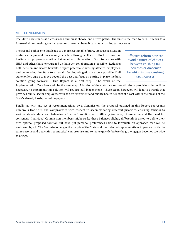# <span id="page-33-0"></span>**VI. CONCLUSION**

The State now stands at a crossroads and must choose one of two paths. The first is the road to ruin. It leads to a future of either crushing tax increases or draconian benefit cuts *plus* crushing tax increases.

The second path is one that leads to a more sustainable future. Because a situation as dire as the present one can only be solved through collective effort, we have not hesitated to propose a solution that requires collaboration. Our discussions with NJEA and others have encouraged us that such collaboration is possible. Reducing both pension and health benefits, despite potential claims by affected employees, and committing the State to a certain funding obligation are only possible if all stakeholders agree to move beyond the past and focus on putting in place the best solution going forward. This Report is a first step. The work of the

Effective reform *now* can avoid a future of choices between crushing tax increases or draconian benefit cuts *plus* crushing tax increases

Implementation Task Force will be the next step. Adoption of the statutory and constitutional provisions that will be necessary to implement this solution will require still bigger steps. These steps, however, will lead to a result that provides public-sector employees with secure retirement and quality health benefits at a cost within the means of the State's already hard-pressed taxpayers.

Finally, as with any set of recommendations by a Commission, the proposal outlined in this Report represents numerous trade-offs and compromises with respect to accommodating different priorities, ensuring fairness to various stakeholders, and balancing a "perfect" solution with difficulty (or ease) of execution and the need for consensus. Individual Commission members might strike these balances slightly differently if asked to define their own optimal proposed solution but have put personal preferences aside to formulate an approach that can be embraced by all. The Commission urges the people of the State and their elected representatives to proceed with the same resolve and dedication to practical compromise and to move quickly before the growing gap becomes too wide to bridge.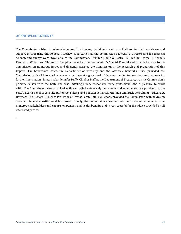## <span id="page-34-0"></span>**ACKNOWLEDGEMENTS**

.

The Commission wishes to acknowledge and thank many individuals and organizations for their assistance and support in preparing this Report. Matthew King served as the Commission's Executive Director and his financial acumen and energy were invaluable to the Commission. Drinker Biddle & Reath, LLP, led by George H. Kendall, Kenneth J. Wilbur and Thomas F. Campion, served as the Commission's Special Counsel and provided advice to the Commission on numerous issues and diligently assisted the Commission in the research and preparation of this Report. The Governor's Office, the Department of Treasury and the Attorney General's Office provided the Commission with all information requested and spent a great deal of time responding to questions and requests for further information. In particular, Jennifer Duffy, Chief of Staff at the Department of Treasury, was the Commission's primary liaison with the State and was unfailingly very responsive, very professional and a pleasure to work with. The Commission also consulted with and relied extensively on reports and other materials provided by the State's health benefits consultant, Aon Consulting, and pension actuaries, Milliman and Buck Consultants. Edward A. Hartnett, The Richard J. Hughes Professor of Law at Seton Hall Law School, provided the Commission with advice on State and federal constitutional law issues. Finally, the Commission consulted with and received comments from numerous stakeholders and experts on pension and health benefits and is very grateful for the advice provided by all interested parties.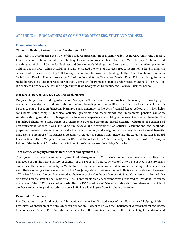## <span id="page-35-0"></span>**Commission Members**

## **Thomas J. Healey, Partner, Healey Development LLC**

Tom Healey is coordinating the work of the Study Commission. He is a Senior Fellow at Harvard University's John F. Kennedy School of Government, where he taught a course in Financial Institutions and Markets. In 2010 he received the Mossavar-Rahmani Center for Business and Government's Distinguished Service Award. He is a retired partner of Goldman, Sachs & Co. While at Goldman Sachs, he created the Pension Services group, the first of its kind in financial services, which services the top 100 leading Pension and Endowment Clients globally. Tom also chaired Goldman Sachs's own Pension Plan and served as CIO of the Central States Teamsters Pension Plan. Prior to joining Goldman Sachs, he served as Assistant Secretary of the US Treasury for Domestic Finance under President Ronald Reagan. Tom is a chartered financial analyst, and he graduated from Georgetown University and Harvard Business School.

## **Margaret S. Berger, FSA, EA, FCA, Principal, Mercer**

Margaret Berger is a consulting actuary and Principal in Mercer's Retirement Practice. She manages actuarial project teams and provides actuarial consulting on defined benefit plans, nonqualified plans, and retiree medical and life insurance plans. Based in Princeton, Margaret is also a member of Mercer's Actuarial Resource Network, which helps consultants solve complex technical actuarial problems and recommends and implements pension valuation standards throughout the firm. Margaret has 24 years of experience consulting in the area of retirement benefits. She has helped clients on a wide range of assignments, such as performing annual actuarial valuations of pension and post-retirement welfare plans, including the review and development of actuarial assumptions and methods, preparing financial statement footnote disclosure information, and designing and redesigning retirement benefits. Margaret is a member of the American Academy of Actuaries Pension Committee and the Actuarial Standards Board Pension Committee. Margaret received a BA in Mathematics from Yale University. She is an Enrolled Actuary, a Fellow of the Society of Actuaries, and a Fellow of the Conference of Consulting Actuaries.

## **Tom Byrne, Managing Member, Byrne Asset Management LLC**

Tom Byrne is managing member of Byrne Asset Management LLC in Princeton, an investment advisory firm that manages \$150 million for a variety of clients. In the 1990s and before, he worked at two major New York law firms and later in the securities industry in Manhattan. He has served in a number of volunteer and nonprofit capacities as well. He is currently acting ++chairman of the New Jersey State Investment Council. He is also a trustee and treasurer of The Fund for New Jersey. Tom served as chairman of the New Jersey Democratic State Committee in 1994–97. He also served on the staff of The Presidential Task Force on Market Mechanisms, which reported to President Reagan on the causes of the 1987 stock market crash. He is a 1976 graduate of Princeton University's Woodrow Wilson School and has served on its graduate advisory board. He has a law degree from Fordham University.

## **Raymond G. Chambers**

Ray Chambers is a philanthropist and humanitarian who has directed most of his efforts toward helping children. Ray serves as chairman of the MCJ Amelior Foundation. Formerly, he was the Chairman of Wesray Capital and began his career as a CPA with PriceWaterhouseCoopers. He is the founding Chairman of the Points of Light Foundation and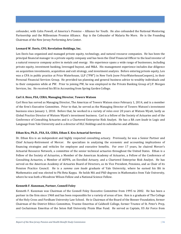cofounder, with Colin Powell, of America's Promise – Alliance for Youth. He also cofounded the National Mentoring Partnership and the Millennium Promise Alliance. Ray is the Cofounder of Malaria No More. He is the Founding Chairman of the New Jersey Performing Arts Center.

## **Leonard W. Davis, CFO, Revelation Holdings, Inc.**

Len Davis has organized and managed private equity, technology, and natural resource companies. He has been the principal financial manager in a private equity company and has been the Chief Financial Officer to the lead investor of a natural resource company active in metals and energy. His experience spans a wide range of businesses, including private equity, investment banking, leveraged buyout, and M&A. His management experience includes due diligence on acquisition investments, acquisition and exit strategy, and investment analysis. Before entering private equity, Len was a CPA in public practice at Price Waterhouse, LLP ("PW") in New York (now PriceWaterhouseCoopers), in their Personal Financial Services Group. He provided tax planning and general business advice to wealthy individuals and to their companies while at PW. Prior to joining PW, he was employed in the Private Banking Group of J.P. Morgan Services, Inc. He received his BS in Accounting from Spring Garden College.

## **Carl A. Hess, FSA, CERA, Managing Director, Towers Watson**

Carl Hess has served as Managing Director, The Americas of Towers Watson since February 1, 2014, and is a member of the firm's Executive Committee. Prior to that, he served as the Managing Director of Towers Watson's investment business since January 1, 2010. Before that, he worked in a variety of roles over 20 years at Watson Wyatt, lastly as Global Practice Director of Watson Wyatt's investment business. Carl is a fellow of the Society of Actuaries and of the Conference of Consulting Actuaries and is a Chartered Enterprise Risk Analyst. He has a BA *cum laude* in Logic and Language from Yale University and is a director of HLC Holdings and its subsidiaries and affiliates.

## **Ethan Kra, Ph.D., FSA, EA, CERA, Ethan E. Kra Actuarial Services**

Dr. Ethan Kra is an independent and highly respected consulting actuary. Previously, he was a Senior Partner and Chief Actuary-Retirement of Mercer. He specializes in analyzing the economic and accounting implications of financing strategies and vehicles for employee and executive benefits. For over 17 years, he chaired Mercer's Actuarial Resource Network, a committee of the senior technical actuaries throughout the United States. Ethan is a Fellow of the Society of Actuaries, a Member of the American Academy of Actuaries, a Fellow of the Conference of Consulting Actuaries, a Member of ASPPA, an Enrolled Actuary, and a Chartered Enterprise Risk Analyst. He has served on the American Academy of Actuaries Board of Directors, as its Vice President, Pensions, and as Chair of its Pension Practice Council. He is a *summa cum laude* graduate of Yale University, where he earned his BA in Mathematics and was elected to Phi Beta Kappa. He holds MA and PhD degrees in Mathematics from Yale University, where he was both a Woodrow Wilson Fellow and a National Science Fellow.

## **Kenneth F. Kunzman, Partner, Connell Foley**

Kenneth F. Kunzman was Chairman of the Connell Foley Executive Committee from 1995 to 2002. He has been a partner in the firm since 1968 and has been responsible for a variety of areas of law. Ken is a graduate of The College of the Holy Cross and Fordham University Law School. He is Chairman of the Board of the Bonner Foundation, former Chairman of the District Ethics Committee, Trustee Emeritus of Caldwell College, former Trustee of St. Peter's Prep, and Cochairman Emeritus of the Seton Hall University Pirate Blue Fund. He served as Captain, US Air Force from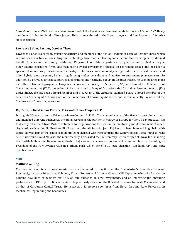1962–1965. Since 1978, Ken has been Co-counsel of the Pension and Welfare Funds for Locals 472 and 172 Heavy and General Laborers Fund of New Jersey. He has been elected to the Super Lawyers and Best Lawyers of America since inception.

## **Lawrence J. Sher, Partner, October Three**

Lawrence J. Sher is a partner, consulting actuary, and member of the Senior Leadership Team at October Three, which is a full-service actuarial, consulting, and technology firm that is a leading force behind the reemergence of defined benefit plans across the country. With over 35 years of consulting experience, Larry has served as chief actuary at other leading consulting firms, has frequently advised government officials on retirement issues, and has been a speaker at numerous professional and industry conferences. As a nationally recognized expert on cash balance and other hybrid pension plans, he is a highly sought-after consultant and advisor to retirement plan sponsors. In addition, he provides critical support as a consulting and testifying expert in disputes related to cash balance plans and other retirement programs. Larry is a Fellow of the Society of Actuaries (FSA), a Fellow of the Conference of Consulting Actuaries (FCA), a member of the American Academy of Actuaries (MAAA), and an Enrolled Actuary (EA) under ERISA. He has been a Board Member and Vice-Chair of the Actuarial Standard Board, a Board Member of the American Academy of Actuaries and of the Conference of Consulting Actuaries, and he was recently President of the Conference of Consulting Actuaries.

## **Raj Tatta, Retired Senior Partner, PricewaterhouseCoopers LLP**

During his 30-year career at PricewaterhouseCoopers LLP, Raj Tatta served some of the firm's largest global clients and managed different businesses, including serving as the partner-in-charge of Europe for the US Tax practice. Raj took early retirement from PwC to volunteer for organizations focused on the mentoring and development of innercity youth, such as the Big Brothers Big Sisters and the All Stars Project. Raj has also been involved in global health issues: he was part of the senior leadership team charged with restructuring the Geneva-based Global Fund to Fight AIDS, Tuberculosis and Malaria; and more recently, he assisted the UN Secretary General's Special Envoy for Financing the Health Millennium Development Goals. Raj serves on a few corporate and volunteer boards, including as President of the Park Avenue Club in Florham Park, which benefits 10 local charities. Raj holds CPA and MBA qualifications.

#### **Staff**

## **Matthew W. King**

Matthew W. King is a private investor who volunteered to function as the Commission's Executive Director. Previously, he was a Director at Kohlberg, Kravis, Roberts and Co. as well as at KKR Capstone, where he focused on building new lines of business for KKR, on due diligence on new investments, and on improving the operating performance of KKR's portfolio companies. He previously served on the Board of Directors for Sealy Corporation and on that of Corporate Capital Trust. He received a BS *summa cum laude* from North Carolina State University in Mechanical Engineering and Economics.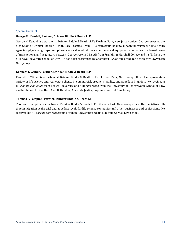## **Special Counsel**

## **George H. Kendall, Partner, Drinker Biddle & Reath LLP**

George H. Kendall is a partner in Drinker Biddle & Reath LLP's Florham Park, New Jersey office. George serves as the Vice Chair of Drinker Biddle's Health Care Practice Group. He represents hospitals; hospital systems; home health agencies; physician groups; and pharmaceutical, medical device, and medical equipment companies in a broad range of transactional and regulatory matters. George received his AB from Franklin & Marshall College and his JD from the Villanova University School of Law. He has been recognized by Chambers USA as one of the top health care lawyers in New Jersey.

### **Kenneth J. Wilbur, Partner, Drinker Biddle & Reath LLP**

Kenneth J. Wilbur is a partner at Drinker Biddle & Reath LLP's Florham Park, New Jersey office. He represents a variety of life science and real estate clients in commercial, products liability, and appellate litigation. He received a BA *summa cum laude* from Lehigh University and a JD *cum laude* from the University of Pennsylvania School of Law, and he clerked for the Hon. Alan B. Handler, Associate Justice, Supreme Court of New Jersey.

#### **Thomas F. Campion, Partner, Drinker Biddle & Reath LLP**

Thomas F. Campion is a partner at Drinker Biddle & Reath LLP's Florham Park, New Jersey office. He specializes fulltime in litigation at the trial and appellate levels for life science companies and other businesses and professions. He received his AB *egregia cum laude* from Fordham University and his LLB from Cornell Law School.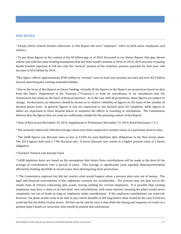# <span id="page-39-0"></span>**END NOTES**

<sup>1</sup> Except where context dictates otherwise, in this Report the term "employee" refers to both active employees and retirees.

 $2$  To put these figures in the context of the \$3 billion gap as of 2014 discussed in our Status Report, that gap, absent reform and with the same funding assumption that the State would continue in 2016 its 2014–2015 practice of paying health benefits expenses in full but only the "normal" portion of the statutory pension payment for that year, will increase to \$3.6 billion by 2016.

3This figure reflects approximately \$700 million in "normal" costs to fund new pension accruals and over \$2.9 billion toward amortizing the existing unfunded liability.

<sup>4</sup> Due to the focus of this Report on future funding, virtually all the figures in this Report are projections based on data from the State's Department of the Treasury ("Treasury") or from its consultants, or on calculations that the Commission has made on the basis of these projections. As is the case with all projections, these figures are subject to change. Furthermore, no inference should be drawn as to relative reliability of figures on the basis of the number of decimal places used. In general, figures in text are expressed to one decimal place for simplicity, while figures in tables are expressed to three decimal places to minimize the effects of rounding in calculations. The Commission believes that the figures that are used are sufficiently reliable for the planning context of this Report.

<sup>5</sup> State of New Jersey November 25, 2014, Supplement to Preliminary November 19, 2014, Bond Disclosure, I-1-1.

<sup>6</sup> The actuarial values had reflected average values over time compared to market values at a particular point in time.

<sup>7</sup> The GASB figures use discount rates as low as 4.29% for post-depletion date obligations in the New Jersey plans. The 2013 figures had used a 7.9% discount rate. A lower discount rate results in a higher present value of a future obligation.

<sup>8</sup> Teachers' Pension and Annuity Fund.

<sup>9</sup> GASB depletion dates are based on the assumption that future State contributions will be made at the level of the average of contributions over a period of years. This average is significantly (and arguably disproportionately) affected by funding shortfalls in recent years, thus skewing long-term projections.

<sup>10</sup> The Commission explored but did not resolve what would happen when a pension plan runs out of money. The legal and financial uncertainties of this nightmare scenario are considerable. The process may not play out in the simple form of retirees exhausting plan assets, leaving nothing for current employees. It is possible that existing employees may have a claim to at least their own contributions, with some interest, meaning the plans would never completely run out of funds as long as employees make contributions. If the employee contributions are reserved, however, the plans would cease to be able to pay retiree benefits in full long before what would be the case if retirees could tap the last dollar of plan assets. All that can be said for sure is that while the timing and sequence of events in a pension plan's death are uncertain, they would be painful and contentious.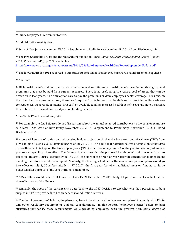<span id="page-40-10"></span>11 Public Employees' Retirement System.

<span id="page-40-11"></span><sup>12</sup> Judicial Retirement System.

<span id="page-40-12"></span><span id="page-40-0"></span><sup>13</sup> State of New Jersey November 25, 2014, Supplement to Preliminary November 19, 2014, Bond Disclosure, I-1-1.

<span id="page-40-13"></span><span id="page-40-1"></span><sup>14</sup> The Pew Charitable Trusts and the MacArthur Foundation, *State Employee Health Plan Spending Report* (August 2014) ("Pew Report"), pp. 2, 38 available at:

<http://www.pewtrusts.org/~/media/Assets/2014/08/StateEmployeeHealthCareReportSeptemberUpdate.pdf>

<span id="page-40-14"></span><sup>15</sup> The lower figure for 2014 reported in our Status Report did not reflect Medicare Part B reimbursement expenses.

<span id="page-40-15"></span><span id="page-40-2"></span><sup>16</sup> Aon Data.

<span id="page-40-16"></span><span id="page-40-3"></span><sup>17</sup> High health benefit and pension costs manifest themselves differently. Health benefits are funded through annual premiums that must be paid from current expenses. There is no prefunding to create a pool of assets that can be drawn on in lean years. The only options are to pay the premiums or deny employees health coverage. Pensions, on the other hand are prefunded and, therefore, "required" contributions can be deferred without immediate adverse consequences. As a result of having "first call" on available funding, increased health benefit costs ultimately manifest themselves in the form of increased pension funding deficits.

<span id="page-40-17"></span><sup>18</sup> *See* Table IX and related text, *infra*.

<span id="page-40-5"></span><span id="page-40-4"></span><sup>19</sup> For example, the GASB figures do not directly affect how the annual required contributions to the pension plans are calculated. *See* State of New Jersey November 25, 2014, Supplement to Preliminary November 19, 2014 Bond Disclosure, I-1-1.

<span id="page-40-7"></span><span id="page-40-6"></span> $20$  A potential source of confusion in discussing budget projections is that the State runs on a fiscal year ("FY") from July 1 to June 30, so FY 2017 actually begins on July 1, 2016. An additional potential source of confusion is that data on health benefits is kept on the basis of plan years ("PY") which begin on January 1 of the year in question, when new plan terms typically go into effect. The Commission assumes that the proposed health benefit reforms would go into effect on January 1, 2016 (technically in FY 2016), the start of the first plan year after the constitutional amendment enabling the reforms would be adopted. Similarly, the funding schedule for the new frozen pension plans would go into effect on July 1, 2016 (technically in FY 2017), the first year for which additional pension funding could be budgeted after approval of the constitutional amendment.

<span id="page-40-9"></span><span id="page-40-8"></span><sup>21</sup> \$35.5 billion would reflect a 3% increase from FY 2015 levels. FY 2016 budget figures were not available at the time of issuance of this Report.

<sup>22</sup> Arguably, the roots of the current crisis date back to the 1987 decision to tap what was then perceived to be a surplus in TPAF to provide free health benefits for education retirees.

<sup>23</sup> The "employee entities" holding the plans may have to be structured as "government plans" to comply with ERISA and other regulatory requirements and tax considerations. In this Report, "employee entities" refers to plan structures that satisfy these requirements while providing employees with the greatest permissible degree of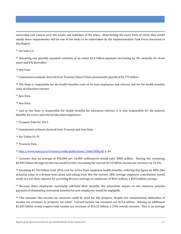j ownership and control over the assets and liabilities of the plans. Determining the exact form of entity that would satisfy these requirements will be one of the tasks to be undertaken by the Implementation Task Force discussed in this Report.

<span id="page-41-5"></span><sup>24</sup> *See* note 2,3.

<sup>25</sup> Assuming one possible payment schedule of an initial \$2.6 billion payment increasing by 3% annually for three years and 4% thereafter.

<sup>26</sup> Aon Data.

<sup>27</sup> Commission estimate derived from Treasury Data of State pensionable payroll of \$5.775 billion.

<sup>28</sup> The State is responsible for the health benefits costs of its own employees and retirees and for the health benefits costs of education retirees.

<sup>29</sup> Aon Data.

<sup>30</sup> Aon Data.

 $31$  Just as the State is responsible for health benefits for education retirees, it is also responsible for the pension benefits for active and retired education employees.

<span id="page-41-0"></span><sup>32</sup> Treasury Data for 2015.

<sup>33</sup> Commission estimate derived from Treasury and Aon Data.

<span id="page-41-1"></span><sup>34</sup> *See* Tables III, IV.

<sup>35</sup> Treasury Data.

<sup>36</sup> [http://www.state.nj.us/treasury/omb/publications/14bib/BIB.pdf,](http://www.state.nj.us/treasury/omb/publications/14bib/BIB.pdf) p. 69

<sup>37</sup> Assumes that an average of \$50,000 per 16,000 millionaires would raise \$800 million. Raising the remaining \$2.845 billion through income tax would involve increasing the current \$12.6 billion income tax revenues by 22.6%.

<span id="page-41-2"></span><sup>38</sup> Assuming \$1.555 billion total 2016 cost for active State employee health benefits, reducing this figure by 60% (the actuarial value of a Bronze-level plan) and taking from this the current 18% average employee contribution would result in a net State expense for providing Bronze coverage to employees of \$962 million, a \$593 million savings.

<span id="page-41-3"></span><sup>39</sup> Because these employees essentially self-fund their benefits, the immediate impact on the statutory pension payment of eliminating retirement benefits for new employees would be negligible.

<span id="page-41-4"></span><sup>40</sup> This assumes that income tax revenues could be used for this purpose, despite the constitutional dedication of income tax revenues to property tax relief. Current income tax revenues are \$12.6 billion. Raising an additional \$3.645 billion would require total income tax revenues of \$16.25 billion, a 29% overall increase. This is an average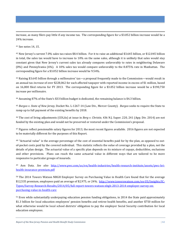j increase, as many filers pay little if any income tax. The corresponding figure for a \$3.052 billion increase would be a 24% increase.

<sup>41</sup> See notes 14, 15.

<span id="page-42-0"></span><sup>42</sup> New Jersey's current 7.0% sales tax raises \$8.4 billion. For it to raise an additional \$3.645 billion, or \$12.045 billion in total, the sales tax would have to increase to 10% on the same sales, although it is unlikely that sales would stay constant given that New Jersey's current sales tax already compares unfavorably to rates in neighboring Delaware (0%) and Pennsylvania (6%). A 10% sales tax would compare unfavorably to the 8.875% rate in Manhattan. The corresponding figure for a \$3.052 billion increase would be 9.54%.

<span id="page-42-3"></span><span id="page-42-2"></span><span id="page-42-1"></span><sup>43</sup> Raising \$3.645 billion through a millionaires' tax—a proposal frequently made to the Commission—would result in an annual tax *increase* of over \$228,062 for each affected taxpayer with reported income in excess of \$1 million, based on 16,000 filed returns for FY 2013. The corresponding figure for a \$3.052 billion increase would be a \$190,750 increase per millionaire.

<span id="page-42-4"></span><sup>44</sup> Assuming 87% of the State's \$33 billion budget is dedicated, the remaining balance is \$4.3 billion.

<span id="page-42-6"></span><span id="page-42-5"></span><sup>45</sup> *Burgos v. State of New Jersey*, Docket No. L-1267-14 (Law Div., Mercer County). *Burgos* seeks to require the State to ramp up to full payment of the existing benefits by 2018.

<span id="page-42-7"></span><sup>46</sup> The cost of living adjustments (COLAs) at issue in *Berg v. Christie*, 436 N.J. Super. 220, 241 (App. Div. 2014) are not funded by the existing plan and would not be preserved or restored under the Commission's proposal.

<span id="page-42-8"></span> $47$  Figures reflect pensionable salary figures for 2013, the most recent figures available. 2016 figures are not expected to be materially different for the purposes of this Report.

<sup>48</sup> "Actuarial value" is the average percentage of the cost of essential benefits paid for by the plan, as opposed to outof-pocket costs paid by the covered individual. This statistic reflects the *value* of coverage provided by a plan, not the details of plan design. The actuarial value of a specific plan depends on its mixture of copays, deductibles, exclusions and other provisions. Plans can reach the same actuarial value in different ways that are tailored to be more responsive to particular groups of insureds.

<sup>49</sup> Aon Data. *See also* [http://www.pwc.com/us/en/health-industries/health-research-institute/assets/pwc-hri](http://www.pwc.com/us/en/health-industries/health-research-institute/assets/pwc-hri-health-insurance-premium.pdf)[health-insurance-premium.pdf](http://www.pwc.com/us/en/health-industries/health-research-institute/assets/pwc-hri-health-insurance-premium.pdf)

<sup>50</sup> The 2014 Towers Watson NBGH Employer Survey on Purchasing Value in Health Care found that for the average \$12,535 premium, employees paid an average of \$2,975, or 24%. [http://www.towerswatson.com/en-US/Insights/IC-](http://www.towerswatson.com/en-US/Insights/IC-Types/Survey-Research-Results/2014/05/full-report-towers-watson-nbgh-2013-2014-employer-survey-on-purchasing-value-in-health-care)[Types/Survey-Research-Results/2014/05/full-report-towers-watson-nbgh-2013-2014-employer-survey-on](http://www.towerswatson.com/en-US/Insights/IC-Types/Survey-Research-Results/2014/05/full-report-towers-watson-nbgh-2013-2014-employer-survey-on-purchasing-value-in-health-care)[purchasing-value-in-health-care](http://www.towerswatson.com/en-US/Insights/IC-Types/Survey-Research-Results/2014/05/full-report-towers-watson-nbgh-2013-2014-employer-survey-on-purchasing-value-in-health-care)

<sup>51</sup> Even while substantially underpaying education pension funding obligations, in 2014 the State paid approximately \$1.3 billion for local education employees' pension benefits and retiree health benefits, and another \$750 million for what otherwise would be local school districts' obligation to pay the employer Social Security contribution for local education employees.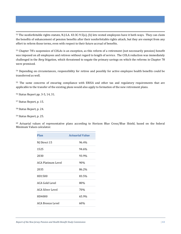52 The nonforfeitable rights statute, N.J.S.A. 43:3C-9.5(a), (b) lets vested employees have it both ways. They can claim the benefits of enhancement of pension benefits after their nonforfeitable rights attach, but they are exempt from any effort to reform those terms, even with respect to their future accrual of benefits.

<span id="page-43-7"></span><sup>53</sup> Chapter 78's suspension of COLAs is an exception, as this reform of a retirement (not necessarily pension) benefit was imposed on all employees and retirees without regard to length of service. The COLA reduction was immediately challenged in the *Berg* litigation, which threatened to negate the primary savings on which the reforms in Chapter 78 were premised.

<sup>54</sup> Depending on circumstances, responsibility for retiree and possibly for active employee health benefits could be transferred as well.

<sup>55</sup> The same concerns of ensuring compliance with ERISA and other tax and regulatory requirements that are applicable to the transfer of the existing plans would also apply to formation of the new retirement plans.

<sup>56</sup> Status Report pp. 3-5, 14, 31.

<sup>57</sup> Status Report, p. 15.

<sup>58</sup> Status Report, p. 24.

<sup>59</sup> Status Report, p. 25.

<span id="page-43-4"></span><span id="page-43-3"></span><span id="page-43-2"></span><span id="page-43-1"></span><span id="page-43-0"></span><sup>60</sup> Actuarial values of representative plans according to Horizon Blue Cross/Blue Shield, based on the federal Minimum Values calculator.

<span id="page-43-6"></span><span id="page-43-5"></span>

| <b>Plan</b>               | <b>Actuarial Value</b> |
|---------------------------|------------------------|
| NJ Direct 15              | 96.4%                  |
| 1525                      | 94.6%                  |
| 2030                      | 93.9%                  |
| <b>ACA Platinum Level</b> | 90%                    |
| 2035                      | 86.2%                  |
| HD1500                    | 83.5%                  |
| <b>ACA Gold Level</b>     | 80%                    |
| <b>ACA Silver Level</b>   | 70%                    |
| HD4000                    | 65.9%                  |
| ACA Bronze Level          | 60%                    |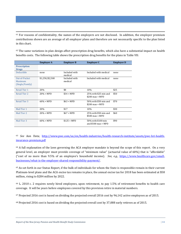61 For reasons of confidentiality, the names of the employers are not disclosed. In addition, the employer premium contributions shown are an average of all employer plans and therefore are not necessarily specific to the plan listed in this chart.

<span id="page-44-0"></span> $62$  The same variations in plan design affect prescription drug benefits, which also have a substantial impact on health benefits costs. The following table shows the prescription drug benefits for the plans in Table VII:

<span id="page-44-2"></span><span id="page-44-1"></span>

|                                             | <b>Employer A</b> | <b>Employer B</b>        | <b>Employer C</b>                          | <b>Employer D</b> |
|---------------------------------------------|-------------------|--------------------------|--------------------------------------------|-------------------|
| <b>Prescription</b><br><b>Drugs</b>         |                   |                          |                                            |                   |
| Deductible                                  | none              | Included with<br>medical | Included with medical                      | none              |
| Out-of-Pocket<br>Maximum<br>(Single/Family) | \$1,250/\$2,500   | Included with<br>medical | Included with medical                      | none              |
| <b>Retail Tier 1</b>                        | 20%               | \$8                      | 10%                                        | \$25              |
| <b>Retail Tier 2</b>                        | $20% + MPD$       | $$34 + MPD$              | 25% with \$25 min and<br>$$200$ max + MPD  | \$50              |
| <b>Retail Tier 3</b>                        | $60\% + MPD$      | $$63 + MPD$              | 50% with \$50 min and<br>$$200$ max + MPD  | \$70              |
| Mail Tier 1                                 | 20%               | \$17                     | 10%                                        | \$30              |
| Mail Tier 2                                 | $20\% + MPD$      | $$67 + MPD$              | 25% with \$50 min and<br>\$500 max + MPD   | \$60              |
| Mail Tier 3                                 | $60\% + MPD$      | $$125 + MPD$             | 50% with \$100 min<br>and $$500$ max + MPD | \$90              |

<span id="page-44-4"></span><span id="page-44-3"></span><sup>63</sup> *See* Aon Data; [http://www.pwc.com/us/en/health-industries/health-research-institute/assets/pwc-hri-health](http://www.pwc.com/us/en/health-industries/health-research-institute/assets/pwc-hri-health-insurance-premium.pdf)[insurance-premium.pdf](http://www.pwc.com/us/en/health-industries/health-research-institute/assets/pwc-hri-health-insurance-premium.pdf)

<sup>64</sup> A full explanation of the laws governing the ACA employer mandate is beyond the scope of this report. On a very general level, an employer must provide coverage of "minimum value" (actuarial value of 60%) that is "affordable" ("cost of no more than 9.5% of an employee's household income). *See, e.g.,* [https://www.healthcare.gov/small](https://www.healthcare.gov/small-businesses/what-is-the-employer-shared-responsibility-payment/)[businesses/what-is-the-employer-shared-responsibility-payment/.](https://www.healthcare.gov/small-businesses/what-is-the-employer-shared-responsibility-payment/)

<sup>65</sup> As set forth in our Status Report, if the bulk of individuals for whom the State is responsible remain in their current Platinum-level plans and the ACA excise tax remains in place, the annual excise tax for 2018 has been estimated at \$58 million, rising to \$284 million by 2022.

<sup>66</sup> L. 2010 c. 2 requires newly hired employees, upon retirement, to pay 1.5% of retirement benefits to health care coverage. It will be years before employees covered by this provision retire in material numbers.

 $67$  Projected 2016 cost is based on dividing the projected overall 2016 cost by 96,142 active employees as of 2015.

<sup>68</sup> Projected 2016 cost is based on dividing the projected overall cost by 37,088 early retirees as of 2015.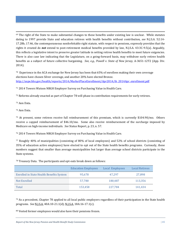$69$  The right of the State to make substantial changes to these benefits under existing law is unclear. While statutes dating to 1997 provide State and education retirees with health benefits without contribution, *see* N.J.S.A. 52:14- 17.28b, 17.46, the contemporaneous nonforfeitable right statute, with respect to pensions, expressly provides that the rights it created do *not* extend to post-retirement medical benefits provided by law, N.J.S.A. 43:3C-9.5(a). Arguably, this reflects a legislative intent to preserve greater latitude in setting retiree health benefits to meet future exigencies. There is also case law indicating that the Legislature, on a going-forward basis, may withdraw early retiree health benefits as a subject of future collective bargaining. *See, e.g., Powell v. State of New Jersey*, A-3651-12T2 (App. Div. 2014).

 $70$  Experience in the ACA exchange for New Jersey has been that 65% of enrollees making their own coverage elections have chosen Silver coverage, and another 20% have elected Bronze. [http://aspe.hhs.gov/health/reports/2014/MarketPlaceEnrollment/Apr2014/ib\\_2014Apr\\_enrollment.pdf](http://aspe.hhs.gov/health/reports/2014/MarketPlaceEnrollment/Apr2014/ib_2014Apr_enrollment.pdf)

<sup>71</sup> 2014 Towers Watson NBGH Employer Survey on Purchasing Value in Health Care.

<sup>72</sup> Reforms already enacted as part of Chapter 78 will phase in contribution requirements for early retirees.

<sup>73</sup> Aon Data.

<sup>74</sup> Aon Data.

<sup>75</sup> At present, some retirees receive full reimbursement of this premium, which is currently \$104.90/mo. Others receive a capped reimbursement of \$46.10/mo. Some also receive reimbursement of the surcharge imposed by Medicare on high-income individuals. *See* Status Report, p. 23, n. 57.

<span id="page-45-0"></span><sup>76</sup> 2014 Towers Watson NBGH Employer Survey on Purchasing Value in Health Care.

<span id="page-45-1"></span><sup>77</sup> Roughly 40% of municipalities (consisting of 80% of local employees) and 52% of school districts (consisting of 35% of education active employees) have elected to opt out of the State health benefits programs. Curiously, these numbers suggest that smaller than average municipalities but larger than average school districts participate in the State systems.

<sup>78</sup> Treasury Data. The participants and opt-outs break down as follows:

<span id="page-45-3"></span><span id="page-45-2"></span>

|                                                 | <b>Education Employees</b> | Local Employees | <b>Local Retirees</b> |
|-------------------------------------------------|----------------------------|-----------------|-----------------------|
| <b>Enrolled in State Health Benefits System</b> | 95,678                     | 47.297          | 27,898                |
| <b>Not Enrolled</b>                             | 57.780                     | 180,487         | 113,356               |
| Total                                           | 153,458                    | 227,784         | 141,434               |

 $79$  As a precedent, Chapter 78 applied to all local public employers regardless of their participation in the State health programs. *See* N.J.S.A. 40A:10-21.1(d); N.J.S.A. 18A:16-17.1(c).

<sup>80</sup> Vested former employees would also have their pensions frozen.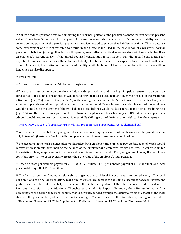<sup>81</sup> A freeze reduces pension costs by eliminating the "normal" portion of the pension payment that reflects the present value of new benefits accrued in that year. A freeze, however, also reduces a plan's unfunded liability and the corresponding portion of the pension payment otherwise needed to pay off that liability over time. This is because some prepayment of benefits expected to accrue in the future is included in the calculation of each year's normal pension contribution (among other factors, this prepayment reflects that final average salary will likely be higher than an employee's current salary). If the annual required contribution is not made in full, the unpaid contribution for expected future accruals increases the unfunded liability. The freeze means these expected future accruals will never occur. As a result, the portion of the unfunded liability attributable to not having funded benefits that now will no longer accrue also disappears.

<sup>82</sup> Treasury Data.

<sup>83</sup> An issue discussed *infra* in the Additional Thoughts section.

<sup>84</sup>There are a number of combinations of downside protections and sharing of upside returns that could be considered. For example, one approach would be to provide interest credits in any given year based on the greater of a fixed rate (e.g., 3%) or a portion (e.g., 50%) of the average return on the plan's assets over the preceding five years. Another approach would be to provide account balances on two different interest crediting bases and the employee would be entitled to the greater of the two balances: one balance would be determined using a fixed crediting rate (e.g., 3%) and the other using a portion of the return on the plan's assets each year (e.g., 50%). Whatever approach is adopted would need to be structured to avoid essentially shifting most of the investment risk back to the employer.

<sup>85</sup> [http://www.asppa.org/Portals/2/PDFs/White%20Papers/wp\\_Participantdirectedplansfinal.pdf](http://www.asppa.org/Portals/2/PDFs/White%20Papers/wp_Participantdirectedplansfinal.pdf)

<sup>86</sup> A private-sector cash balance plan generally involves only employer contributions because, in the private sector, only in true 401(k)-style defined contribution plans can employees make pretax contributions.

<sup>87</sup> The accounts in the cash balance plan would reflect both employer and employee pay credits, each of which would receive interest credits, thus making the balance of the employer and employee credits additive. In contrast, under the existing plans, employee contributions set a minimum benefit level. For younger employees, the employee contribution with interest is typically greater than the value of the employee's total pension.

<sup>88</sup> Based on State pensionable payroll for 2013 of \$5.775 billion, TPAF pensionable payroll of \$10.038 billion and local pensionable payroll of \$10.824 billion.

<span id="page-46-0"></span><sup>89</sup> The fact that pension funding is relatively stronger at the local level is not a reason for complacency. The local pension plans are final-average-salary plans and therefore are subject to the same disconnect between investment performance and benefits that helped undermine the State-level portion of the plans, concerns addressed in the Pensions discussion in the Additional Thoughts section of this Report. Moreover, the 67% funded ratio (the percentage of the actuarial accrued liability that is currently funded through the actuarial value of assets) of the local shares of the pension plans, while better than the average 33% funded ratio of the State shares, is not good. *See* State of New Jersey November 25, 2014, Supplement to Preliminary November 19, 2014, Bond Disclosure, I-1-1.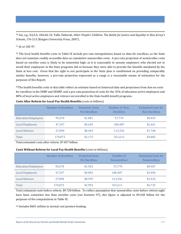<span id="page-47-0"></span> 90 *See, e.g.,* N.J.S.A. 18A:66-33; Yaffe, Deborah, *Other People's Children*, *The Battle for Justice and Equality in New Jersey's Schools*, 176-213 (Rutgers University Press, 2007).

<sup>91</sup> *Id.* at 182-97.

<span id="page-47-1"></span> $92$  The local health benefits costs in Table IX include pro-rata extrapolations based on data for enrollees, as the State does not maintain readily accessible data on cumulative nonenrollee costs. A pro-rata projection of nonenrollee costs based on enrollee costs is likely to be somewhat high; as it is reasonable to assume employers who elected not to enroll their employees in the State programs did so because they were able to provide the benefits mandated by the State at less cost. Given that the right to not participate in the State plan is conditioned on providing comparably similar benefits, however, a pro-rata projection expressed as a range is a reasonable means of estimation for the purposes of this Report.

<span id="page-47-4"></span><span id="page-47-3"></span><span id="page-47-2"></span>93The health benefits costs in this table reflect an estimate based on historical data and projections from Aon on costs for enrollees in the SHBP and SEHBP, and a pro-rata projection of costs for the 35% of education active employees and 80% of local active employees and retirees not enrolled in the State health benefit programs.

<span id="page-47-5"></span>

|                            | <b>Number of Enrollees</b> | <b>Projected Costs</b><br><b>For Enrollees</b> | Number of Non-<br>Enrollees | <b>Estimated Costs for</b><br>Non-Enrollees |
|----------------------------|----------------------------|------------------------------------------------|-----------------------------|---------------------------------------------|
| <b>Education Employees</b> | 95.678                     | \$1,081                                        | 57,770                      | \$0.653                                     |
| <b>Local Employees</b>     | 47,297                     | \$0.645                                        | 180,487                     | \$2.461                                     |
| <b>Local Retirees</b>      | 27,898                     | \$0.449                                        | 113,356                     | \$1.768                                     |
| Total                      | 170,873                    | \$2.175                                        | 351,613                     | \$4.882                                     |

| Costs After Reform for Local-Pay Health Benefits (costs in billions) |
|----------------------------------------------------------------------|
|                                                                      |

Total estimated costs after reform: \$7.057 billion.

## **Costs Without Reform for Local Pay Health Benefits** (costs in billions)

|                            | Number of Enrollees | <b>Projected Costs</b><br><b>For Enrollees</b> | Number of<br><b>Nonenrollees</b> | <b>Estimated Costs for</b><br><b>Nonenrollees</b> |
|----------------------------|---------------------|------------------------------------------------|----------------------------------|---------------------------------------------------|
| <b>Education Employees</b> | 95.678              | \$1.502                                        | 57,770                           | \$0.907                                           |
| <b>Local Employees</b>     | 47,297              | \$0.892                                        | 180,487                          | \$3.404                                           |
| <b>Local Retirees</b>      | 27,898              | \$0.599                                        | 113,356                          | \$2.424                                           |
| Total                      | 170,873             | \$2.993                                        | 351,613                          | \$6.735                                           |

Total estimated costs before reform: \$9.728 billion. To reflect assumption that nonenrollee costs before reform night have been somewhat less than enrollee costs (*see* footnote 97), this figure is adjusted to \$9.428 billion for the purposes of the computations in Table IX.

<sup>94</sup> Includes \$681 million in normal cost pension funding.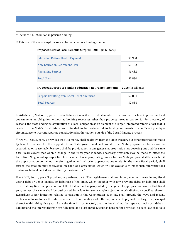<span id="page-48-3"></span>95 Includes \$1.526 billion in pension funding.

<sup>96</sup> This use of the local surplus can also be depicted as a funding source:

| <b>Education Retiree Health Payment</b> | \$0.950 |
|-----------------------------------------|---------|
| New Education Retirement Plan           | \$0.402 |
| <b>Remaining Surplus</b>                | \$1.482 |
| <b>Total Uses</b>                       | \$2.834 |

**Proposed Sources of Funding Education Retirement Benefits – 2016** (in billions)

| <b>Surplus Resulting from Local Benefit Reforms</b> | \$2.834 |
|-----------------------------------------------------|---------|
| <b>Total Sources</b>                                | \$2.834 |

<span id="page-48-2"></span><span id="page-48-1"></span><span id="page-48-0"></span>97 Article VIII, Section II, para. 5 establishes a Council on Local Mandates to determine if a law imposes on local governments an obligation without authorizing resources other than property taxes to pay for it. For a variety of reasons, the State ending its assumption of a local obligation as an element of a larger integrated reform effort that is crucial to the State's fiscal future and intended to be cost-neutral to local governments is a sufficiently unique circumstance to warrant separate constitutional authorization outside of the Local Mandate process.

98 Art. VIII, Sec. II, para. 2 provides that "No money shall be drawn from the State treasury but for appropriations made by law. All moneys for the support of the State government and for all other State purposes as far as can be ascertained or reasonably foreseen, shall be provided for in one general appropriation law covering one and the same fiscal year; except that when a change in the fiscal year is made, necessary provision may be made to effect the transition. No general appropriation law or other law appropriating money for any State purpose shall be enacted if the appropriation contained therein, together with all prior appropriations made for the same fiscal period, shall exceed the total amount of revenue on hand and anticipated which will be available to meet such appropriations during such fiscal period, as certified by the Governor."

 $99$  Art. VIII, Sec. II, para. 3 provides, in pertinent part, "The Legislature shall not, in any manner, create in any fiscal year a debt or debts, liability or liabilities of the State, which together with any previous debts or liabilities shall exceed at any time one per centum of the total amount appropriated by the general appropriation law for that fiscal year, unless the same shall be authorized by a law for some single object or work distinctly specified therein. Regardless of any limitation relating to taxation in this Constitution, such law shall provide the ways and means, exclusive of loans, to pay the interest of such debt or liability as it falls due, and also to pay and discharge the principal thereof within thirty-five years from the time it is contracted; and the law shall not be repealed until such debt or liability and the interest thereon are fully paid and discharged. Except as hereinafter provided, no such law shall take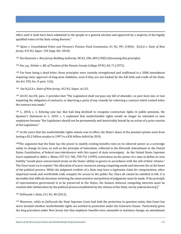j effect until it shall have been submitted to the people at a general election and approved by a majority of the legally qualified voters of the State voting thereon."

<span id="page-49-0"></span><sup>100</sup> *Spina v. Consolidated Police and Firemen's Pension Fund Commission*, 41 N.J. 391 (1964); *N.J.E.A v. State of New Jersey*, 412 N.J. Super. 192 (App. Div. 2010).

<sup>101</sup> *See Enourato v. New Jersey Building Authority*, 90 N.J. 396, 409 (1982) (discussing this principle).

<sup>102</sup> *See, e.g., Holster v. Bd. of Trustees of the Passaic County College*, 59 N.J. 60, 71 (1971).

<sup>103</sup> Far from being a dead letter, these principles were recently strengthened and reaffirmed in a 2008 amendment requiring voter approval of long-term liabilities, even if they are not backed by the full faith and credit of the State. *See* Art. VIII, Sec. II para. 3 (b).

104 *See N.J.E.A v. State of New Jersey*, 412 N.J. Super. at 215.

<sup>105</sup> Art.IV, Sec.VII, para. 3 provides that "The Legislature shall not pass any bill of attainder, ex post facto law, or law impairing the obligation of contracts, or depriving a party of any remedy for enforcing a contract which existed when the contract was made."

<sup>106</sup> L. 2010, c. 1, Echoing case law that had long declined to recognize contractual rights in public pensions, the Sponsor's Statement to L. 2010. c. 1 explained that nonforfeitable rights would no longer be extended to new employees because "the Legislature should not be permanently and inextricably bound by an action of a prior session of the Legislature."

<span id="page-49-1"></span><sup>107</sup> In the years that the nonforfeitable rights statute was in effect, the State's share of the pension system went from having a \$1.2 billion surplus in 1997 to a \$26 billion deficit by 2010.

 $108$ The argument that the State has the power to modify existing benefits rests on its inherent power as a sovereign entity to change its laws, as well as the principle of federalism, reflected in the Eleventh Amendment to the United States Constitution, of federal non-interference with this aspect of state sovereignty. As the United States Supreme Court explained in *Alden v. Maine*, 527 U.S. 706, 750-751 (1999), restrictions on the power of a state to define its own liability "would place unwarranted strain on the States' ability to govern in accordance with the will of their citizens." The Court went on to explain "the allocation of scarce resources among competing needs and interests lies at the heart of the political process. While the judgment creditor of a State may have a legitimate claim for compensation, other important needs and worthwhile ends compete for access to the public fisc. Since all cannot be satisfied in full, it is inevitable that difficult decisions involving the most sensitive and political of judgments must be made. If the principle of representative government is to be preserved to the States, the balance between competing interests must be reached after deliberation by the political process established by the citizens of the State, not by judicial decree[.]"

## <sup>109</sup> *DePascale v. State*, 211 N.J. 40 (2012).

<sup>110</sup> Moreover, while in *DePascale* the State Supreme Court had held the protection in question exists, that Court has never decided whether nonforfeitable rights are entitled to protection under the Contracts Clause. Particularly given the long precedent under New Jersey law that employee benefits were amenable to statutory change, an amendment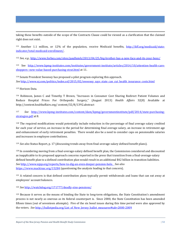j taking these benefits outside of the scope of the Contracts Clause could be viewed as a clarification that the claimed right does not exist.

<sup>111</sup> Another 1.1 million, or 12% of the population, receive Medicaid benefits, [http://kff.org/medicaid/state](http://kff.org/medicaid/state-indicator/total-medicaid-enrollment/)[indicator/total-medicaid-enrollment/,](http://kff.org/medicaid/state-indicator/total-medicaid-enrollment/) 

<sup>112</sup> *See, e.g.,* <http://www.forbes.com/sites/paulhsieh/2013/04/25/big-brother-has-a-new-face-and-its-your-boss/>

<sup>113</sup> See [http://www.kpmg-institutes.com/institutes/government-institute/articles/2014/10/attention-health-care](http://www.kpmg-institutes.com/institutes/government-institute/articles/2014/10/attention-health-care-shoppers--new-value-based-purchasing-strat.html)[shoppers--new-value-based-purchasing-strat.html](http://www.kpmg-institutes.com/institutes/government-institute/articles/2014/10/attention-health-care-shoppers--new-value-based-purchasing-strat.html) at 11.

<sup>114</sup> Senate President Sweeney has proposed a pilot program exploring this approach. *See* [http://www.nj.com/politics/index.ssf/2015/02/sweeney\\_says\\_state\\_can\\_cut\\_health\\_insurance\\_costs.html](http://www.nj.com/politics/index.ssf/2015/02/sweeney_says_state_can_cut_health_insurance_costs.html)

<sup>115</sup> Horizon Data.

<sup>116</sup> Robinson, James C and Timothy T Brown, "Increases in Consumer Cost Sharing Redirect Patient Volumes and Reduce Hospital Prices For Orthopedic Surgery," (August 2013) *Health Affairs* 32(8) Available at http://content.healthaffairs.org/ content/32/8/1392.abstract

117 *See* [http://www.kpmg-institutes.com/content/dam/kpmg/governmentinstitute/pdf/2014/state-purchasing](http://www.kpmg-institutes.com/content/dam/kpmg/governmentinstitute/pdf/2014/state-purchasing-strategies.pdf)[strategies.pdf](http://www.kpmg-institutes.com/content/dam/kpmg/governmentinstitute/pdf/2014/state-purchasing-strategies.pdf) at 8.

<sup>118</sup> The required modifications would potentially include reduction in the percentage of final average salary credited for each year of service, an increase in the period for determining final average salary, an increase in retirement age and enhancement of early retirement penalties. There would also be a need to consider caps on pensionable salaries and increases in employee contributions.

<sup>119</sup> *See also* Status Report, p. 17 (discussing trends away from final-average-salary defined benefit plans).

<span id="page-50-0"></span><sup>120</sup> In considering moving from a final-average-salary defined benefit plan, the Commission considered and discounted as inapplicable to its proposed approach concerns reported in the press that transition from a final-average-salary defined benefit plan to a defined contribution plan would result in an additional \$42 billion in transition liabilities. *See* [http://www.njpp.org/reports/how-to-dig-an-even-deeper-pension-hole.](http://www.njpp.org/reports/how-to-dig-an-even-deeper-pension-hole) *See also* <https://www.mackinac.org/15284> (questioning the analysis leading to that concern).

<span id="page-50-1"></span><sup>121</sup> A related concern is that defined contribution plans typically permit withdrawals and loans that can eat away at employees' account balances.

<span id="page-50-2"></span><sup>122</sup> *See* <http://watchdog.org/171777/deadly-sins-pensions/>

<span id="page-50-4"></span><span id="page-50-3"></span><sup>123</sup> Because it serves as the means of binding the State to long-term obligations, the State Constitution's amendment process is not nearly as onerous as its federal counterpart is. Since 2000, the State Constitution has been amended fifteen times (out of seventeen attempts). Five of the six bond issues during this time period were also approved by the voters. *See* [http://ballotpedia.org/List\\_of\\_New\\_Jersey\\_ballot\\_measures#tab=2000-2009](http://ballotpedia.org/List_of_New_Jersey_ballot_measures#tab=2000-2009)